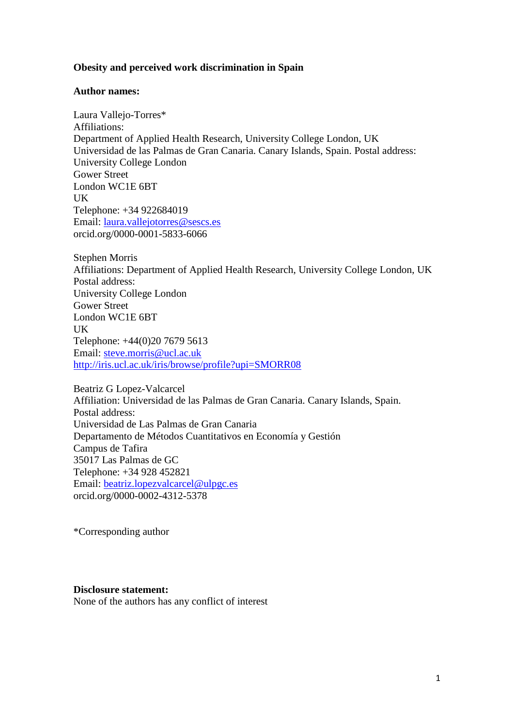## **Obesity and perceived work discrimination in Spain**

## **Author names:**

Laura Vallejo-Torres\* Affiliations: Department of Applied Health Research, University College London, UK Universidad de las Palmas de Gran Canaria. Canary Islands, Spain. Postal address: University College London Gower Street London WC1E 6BT UK Telephone: +34 922684019 Email: [laura.vallejotorres@sescs.es](mailto:laura.vallejotorres@sescs.es) orcid.org/0000-0001-5833-6066

Stephen Morris Affiliations: Department of Applied Health Research, University College London, UK Postal address: University College London Gower Street London WC1E 6BT UK Telephone: +44(0)20 7679 5613 Email: [steve.morris@ucl.ac.uk](mailto:steve.morris@ucl.ac.uk) <http://iris.ucl.ac.uk/iris/browse/profile?upi=SMORR08>

Beatriz G Lopez-Valcarcel Affiliation: Universidad de las Palmas de Gran Canaria. Canary Islands, Spain. Postal address: Universidad de Las Palmas de Gran Canaria Departamento de Métodos Cuantitativos en Economía y Gestión Campus de Tafira 35017 Las Palmas de GC Telephone: +34 928 452821 Email: [beatriz.lopezvalcarcel@ulpgc.es](mailto:beatriz.lopezvalcarcel@ulpgc.es) orcid.org/0000-0002-4312-5378

\*Corresponding author

## **Disclosure statement:**

None of the authors has any conflict of interest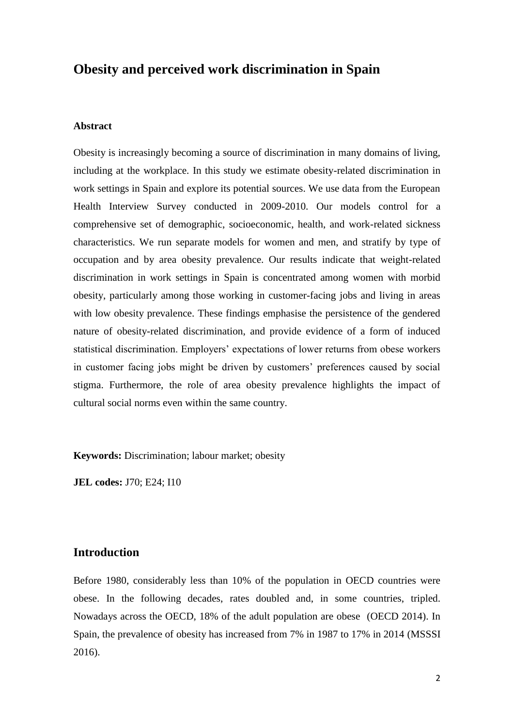# **Obesity and perceived work discrimination in Spain**

#### **Abstract**

Obesity is increasingly becoming a source of discrimination in many domains of living, including at the workplace. In this study we estimate obesity-related discrimination in work settings in Spain and explore its potential sources. We use data from the European Health Interview Survey conducted in 2009-2010. Our models control for a comprehensive set of demographic, socioeconomic, health, and work-related sickness characteristics. We run separate models for women and men, and stratify by type of occupation and by area obesity prevalence. Our results indicate that weight-related discrimination in work settings in Spain is concentrated among women with morbid obesity, particularly among those working in customer-facing jobs and living in areas with low obesity prevalence. These findings emphasise the persistence of the gendered nature of obesity-related discrimination, and provide evidence of a form of induced statistical discrimination. Employers' expectations of lower returns from obese workers in customer facing jobs might be driven by customers' preferences caused by social stigma. Furthermore, the role of area obesity prevalence highlights the impact of cultural social norms even within the same country.

**Keywords:** Discrimination; labour market; obesity

**JEL codes:** J70; E24; I10

## **Introduction**

Before 1980, considerably less than 10% of the population in OECD countries were obese. In the following decades, rates doubled and, in some countries, tripled. Nowadays across the OECD, 18% of the adult population are obese (OECD 2014). In Spain, the prevalence of obesity has increased from 7% in 1987 to 17% in 2014 (MSSSI 2016).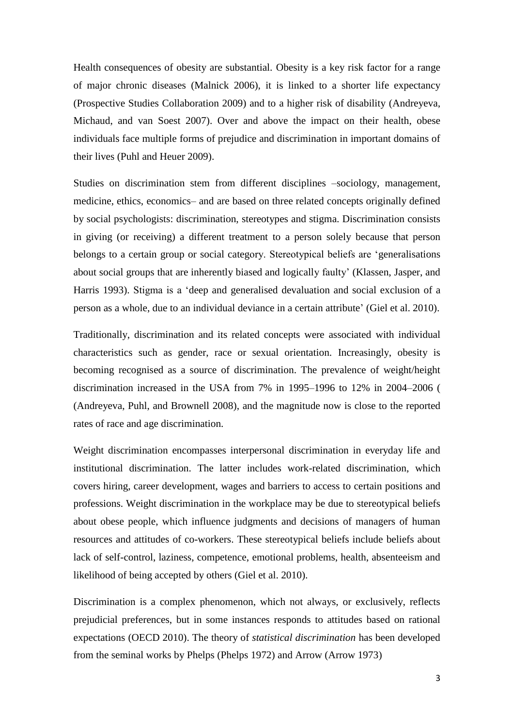Health consequences of obesity are substantial. Obesity is a key risk factor for a range of major chronic diseases (Malnick 2006), it is linked to a shorter life expectancy (Prospective Studies Collaboration 2009) and to a higher risk of disability (Andreyeva, Michaud, and van Soest 2007). Over and above the impact on their health, obese individuals face multiple forms of prejudice and discrimination in important domains of their lives (Puhl and Heuer 2009).

Studies on discrimination stem from different disciplines –sociology, management, medicine, ethics, economics– and are based on three related concepts originally defined by social psychologists: discrimination, stereotypes and stigma. Discrimination consists in giving (or receiving) a different treatment to a person solely because that person belongs to a certain group or social category. Stereotypical beliefs are 'generalisations about social groups that are inherently biased and logically faulty' (Klassen, Jasper, and Harris 1993). Stigma is a 'deep and generalised devaluation and social exclusion of a person as a whole, due to an individual deviance in a certain attribute' (Giel et al. 2010).

Traditionally, discrimination and its related concepts were associated with individual characteristics such as gender, race or sexual orientation. Increasingly, obesity is becoming recognised as a source of discrimination. The prevalence of weight/height discrimination increased in the USA from 7% in 1995–1996 to 12% in 2004–2006 ( (Andreyeva, Puhl, and Brownell 2008), and the magnitude now is close to the reported rates of race and age discrimination.

Weight discrimination encompasses interpersonal discrimination in everyday life and institutional discrimination. The latter includes work-related discrimination, which covers hiring, career development, wages and barriers to access to certain positions and professions. Weight discrimination in the workplace may be due to stereotypical beliefs about obese people, which influence judgments and decisions of managers of human resources and attitudes of co-workers. These stereotypical beliefs include beliefs about lack of self-control, laziness, competence, emotional problems, health, absenteeism and likelihood of being accepted by others (Giel et al. 2010).

Discrimination is a complex phenomenon, which not always, or exclusively, reflects prejudicial preferences, but in some instances responds to attitudes based on rational expectations (OECD 2010). The theory of *statistical discrimination* has been developed from the seminal works by Phelps (Phelps 1972) and Arrow (Arrow 1973)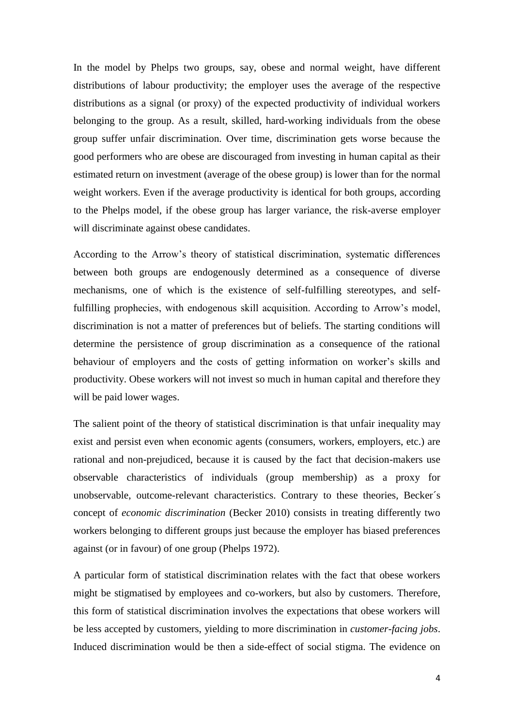In the model by Phelps two groups, say, obese and normal weight, have different distributions of labour productivity; the employer uses the average of the respective distributions as a signal (or proxy) of the expected productivity of individual workers belonging to the group. As a result, skilled, hard-working individuals from the obese group suffer unfair discrimination. Over time, discrimination gets worse because the good performers who are obese are discouraged from investing in human capital as their estimated return on investment (average of the obese group) is lower than for the normal weight workers. Even if the average productivity is identical for both groups, according to the Phelps model, if the obese group has larger variance, the risk-averse employer will discriminate against obese candidates.

According to the Arrow's theory of statistical discrimination, systematic differences between both groups are endogenously determined as a consequence of diverse mechanisms, one of which is the existence of self-fulfilling stereotypes, and selffulfilling prophecies, with endogenous skill acquisition. According to Arrow's model, discrimination is not a matter of preferences but of beliefs. The starting conditions will determine the persistence of group discrimination as a consequence of the rational behaviour of employers and the costs of getting information on worker's skills and productivity. Obese workers will not invest so much in human capital and therefore they will be paid lower wages.

The salient point of the theory of statistical discrimination is that unfair inequality may exist and persist even when economic agents (consumers, workers, employers, etc.) are rational and non-prejudiced, because it is caused by the fact that decision-makers use observable characteristics of individuals (group membership) as a proxy for unobservable, outcome-relevant characteristics. Contrary to these theories, Becker´s concept of *economic discrimination* (Becker 2010) consists in treating differently two workers belonging to different groups just because the employer has biased preferences against (or in favour) of one group (Phelps 1972).

A particular form of statistical discrimination relates with the fact that obese workers might be stigmatised by employees and co-workers, but also by customers. Therefore, this form of statistical discrimination involves the expectations that obese workers will be less accepted by customers, yielding to more discrimination in *customer-facing jobs*. Induced discrimination would be then a side-effect of social stigma. The evidence on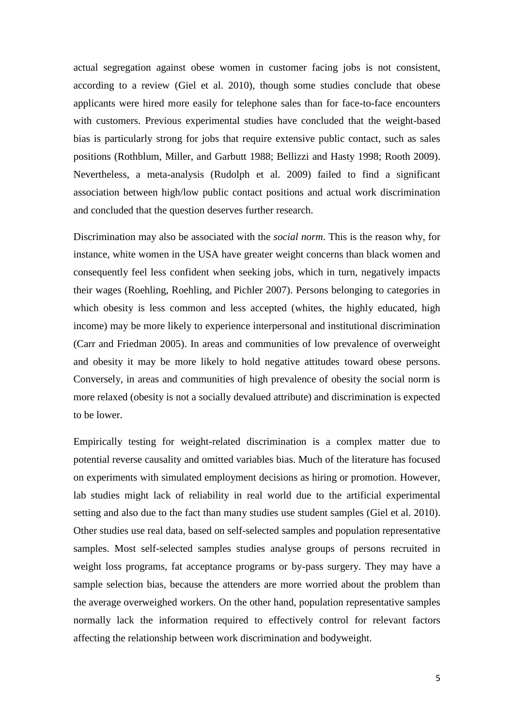actual segregation against obese women in customer facing jobs is not consistent, according to a review (Giel et al. 2010), though some studies conclude that obese applicants were hired more easily for telephone sales than for face-to-face encounters with customers. Previous experimental studies have concluded that the weight-based bias is particularly strong for jobs that require extensive public contact, such as sales positions (Rothblum, Miller, and Garbutt 1988; Bellizzi and Hasty 1998; Rooth 2009). Nevertheless, a meta-analysis (Rudolph et al. 2009) failed to find a significant association between high/low public contact positions and actual work discrimination and concluded that the question deserves further research.

Discrimination may also be associated with the *social norm*. This is the reason why, for instance, white women in the USA have greater weight concerns than black women and consequently feel less confident when seeking jobs, which in turn, negatively impacts their wages (Roehling, Roehling, and Pichler 2007). Persons belonging to categories in which obesity is less common and less accepted (whites, the highly educated, high income) may be more likely to experience interpersonal and institutional discrimination (Carr and Friedman 2005). In areas and communities of low prevalence of overweight and obesity it may be more likely to hold negative attitudes toward obese persons. Conversely, in areas and communities of high prevalence of obesity the social norm is more relaxed (obesity is not a socially devalued attribute) and discrimination is expected to be lower.

Empirically testing for weight-related discrimination is a complex matter due to potential reverse causality and omitted variables bias. Much of the literature has focused on experiments with simulated employment decisions as hiring or promotion. However, lab studies might lack of reliability in real world due to the artificial experimental setting and also due to the fact than many studies use student samples (Giel et al. 2010). Other studies use real data, based on self-selected samples and population representative samples. Most self-selected samples studies analyse groups of persons recruited in weight loss programs, fat acceptance programs or by-pass surgery. They may have a sample selection bias, because the attenders are more worried about the problem than the average overweighed workers. On the other hand, population representative samples normally lack the information required to effectively control for relevant factors affecting the relationship between work discrimination and bodyweight.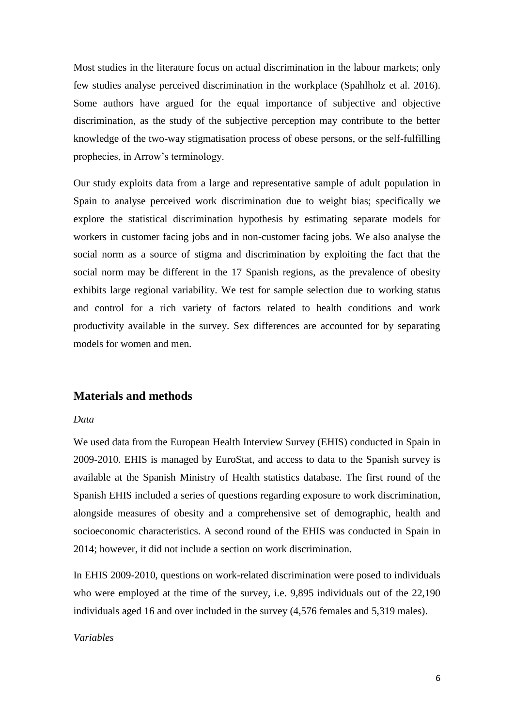Most studies in the literature focus on actual discrimination in the labour markets; only few studies analyse perceived discrimination in the workplace (Spahlholz et al. 2016). Some authors have argued for the equal importance of subjective and objective discrimination, as the study of the subjective perception may contribute to the better knowledge of the two-way stigmatisation process of obese persons, or the self-fulfilling prophecies, in Arrow's terminology.

Our study exploits data from a large and representative sample of adult population in Spain to analyse perceived work discrimination due to weight bias; specifically we explore the statistical discrimination hypothesis by estimating separate models for workers in customer facing jobs and in non-customer facing jobs. We also analyse the social norm as a source of stigma and discrimination by exploiting the fact that the social norm may be different in the 17 Spanish regions, as the prevalence of obesity exhibits large regional variability. We test for sample selection due to working status and control for a rich variety of factors related to health conditions and work productivity available in the survey. Sex differences are accounted for by separating models for women and men.

## **Materials and methods**

## *Data*

We used data from the European Health Interview Survey (EHIS) conducted in Spain in 2009-2010. EHIS is managed by EuroStat, and access to data to the Spanish survey is available at the Spanish Ministry of Health statistics database. The first round of the Spanish EHIS included a series of questions regarding exposure to work discrimination, alongside measures of obesity and a comprehensive set of demographic, health and socioeconomic characteristics. A second round of the EHIS was conducted in Spain in 2014; however, it did not include a section on work discrimination.

In EHIS 2009-2010, questions on work-related discrimination were posed to individuals who were employed at the time of the survey, i.e. 9,895 individuals out of the 22,190 individuals aged 16 and over included in the survey (4,576 females and 5,319 males).

#### *Variables*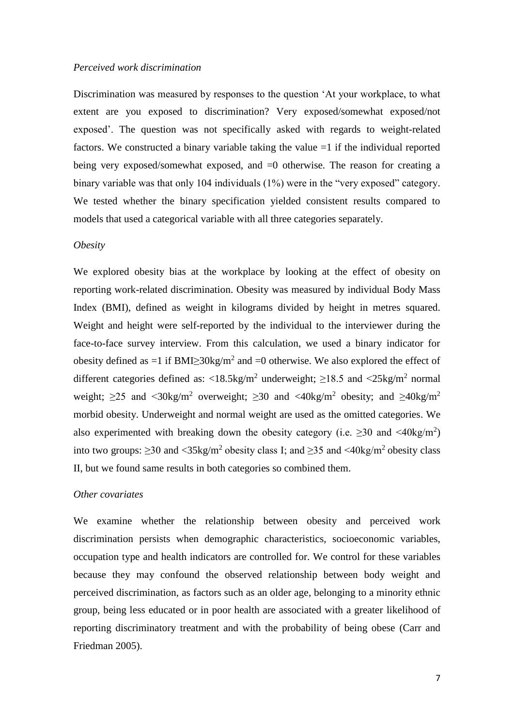#### *Perceived work discrimination*

Discrimination was measured by responses to the question 'At your workplace, to what extent are you exposed to discrimination? Very exposed/somewhat exposed/not exposed'. The question was not specifically asked with regards to weight-related factors. We constructed a binary variable taking the value =1 if the individual reported being very exposed/somewhat exposed, and  $=0$  otherwise. The reason for creating a binary variable was that only 104 individuals (1%) were in the "very exposed" category. We tested whether the binary specification yielded consistent results compared to models that used a categorical variable with all three categories separately.

#### *Obesity*

We explored obesity bias at the workplace by looking at the effect of obesity on reporting work-related discrimination. Obesity was measured by individual Body Mass Index (BMI), defined as weight in kilograms divided by height in metres squared. Weight and height were self-reported by the individual to the interviewer during the face-to-face survey interview. From this calculation, we used a binary indicator for obesity defined as =1 if  $BMI \geq 30 kg/m^2$  and =0 otherwise. We also explored the effect of different categories defined as:  $\langle 18.5 \text{kg/m}^2 \rangle$  underweight;  $\geq 18.5$  and  $\langle 25 \text{kg/m}^2 \rangle$  normal weight;  $\geq$ 25 and <30kg/m<sup>2</sup> overweight;  $\geq$ 30 and <40kg/m<sup>2</sup> obesity; and  $\geq$ 40kg/m<sup>2</sup> morbid obesity. Underweight and normal weight are used as the omitted categories. We also experimented with breaking down the obesity category (i.e.  $\geq 30$  and  $\leq 40 \text{kg/m}^2$ ) into two groups:  $\geq$ 30 and  $\lt$ 35kg/m<sup>2</sup> obesity class I; and  $\geq$ 35 and  $\lt$ 40kg/m<sup>2</sup> obesity class II, but we found same results in both categories so combined them.

#### *Other covariates*

We examine whether the relationship between obesity and perceived work discrimination persists when demographic characteristics, socioeconomic variables, occupation type and health indicators are controlled for. We control for these variables because they may confound the observed relationship between body weight and perceived discrimination, as factors such as an older age, belonging to a minority ethnic group, being less educated or in poor health are associated with a greater likelihood of reporting discriminatory treatment and with the probability of being obese (Carr and Friedman 2005).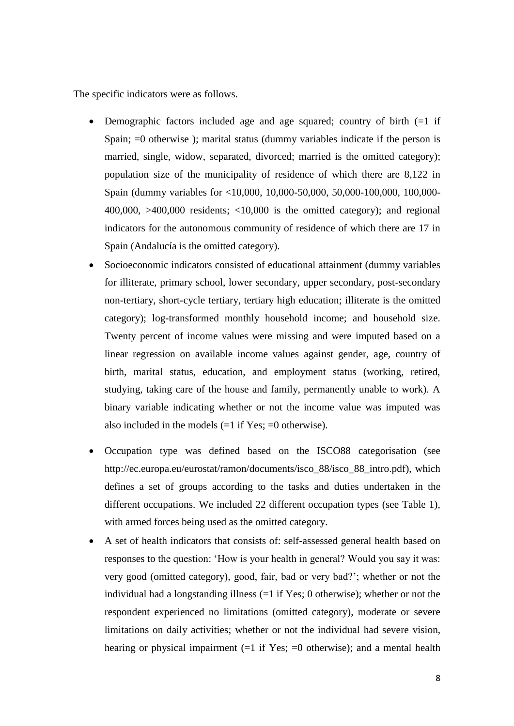The specific indicators were as follows.

- Demographic factors included age and age squared; country of birth  $(=1 \text{ if }$ Spain; =0 otherwise ); marital status (dummy variables indicate if the person is married, single, widow, separated, divorced; married is the omitted category); population size of the municipality of residence of which there are 8,122 in Spain (dummy variables for <10,000, 10,000-50,000, 50,000-100,000, 100,000- 400,000, >400,000 residents; <10,000 is the omitted category); and regional indicators for the autonomous community of residence of which there are 17 in Spain (Andalucía is the omitted category).
- Socioeconomic indicators consisted of educational attainment (dummy variables for illiterate, primary school, lower secondary, upper secondary, post-secondary non-tertiary, short-cycle tertiary, tertiary high education; illiterate is the omitted category); log-transformed monthly household income; and household size. Twenty percent of income values were missing and were imputed based on a linear regression on available income values against gender, age, country of birth, marital status, education, and employment status (working, retired, studying, taking care of the house and family, permanently unable to work). A binary variable indicating whether or not the income value was imputed was also included in the models  $(=1 \text{ if } Yes; =0 \text{ otherwise}).$
- Occupation type was defined based on the ISCO88 categorisation (see http://ec.europa.eu/eurostat/ramon/documents/isco\_88/isco\_88\_intro.pdf), which defines a set of groups according to the tasks and duties undertaken in the different occupations. We included 22 different occupation types (see Table 1), with armed forces being used as the omitted category.
- A set of health indicators that consists of: self-assessed general health based on responses to the question: 'How is your health in general? Would you say it was: very good (omitted category), good, fair, bad or very bad?'; whether or not the individual had a longstanding illness (=1 if Yes; 0 otherwise); whether or not the respondent experienced no limitations (omitted category), moderate or severe limitations on daily activities; whether or not the individual had severe vision, hearing or physical impairment  $(=1 \text{ if } Yes; =0 \text{ otherwise})$ ; and a mental health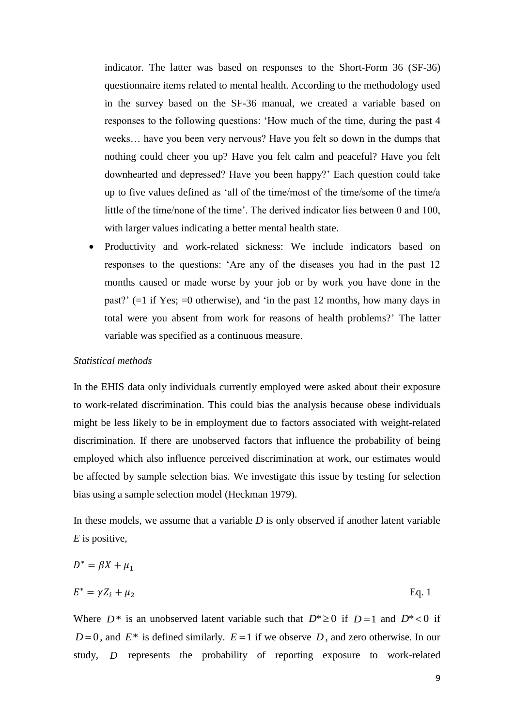indicator. The latter was based on responses to the Short-Form 36 (SF-36) questionnaire items related to mental health. According to the methodology used in the survey based on the SF-36 manual, we created a variable based on responses to the following questions: 'How much of the time, during the past 4 weeks… have you been very nervous? Have you felt so down in the dumps that nothing could cheer you up? Have you felt calm and peaceful? Have you felt downhearted and depressed? Have you been happy?' Each question could take up to five values defined as 'all of the time/most of the time/some of the time/a little of the time/none of the time'. The derived indicator lies between 0 and 100, with larger values indicating a better mental health state.

• Productivity and work-related sickness: We include indicators based on responses to the questions: 'Are any of the diseases you had in the past 12 months caused or made worse by your job or by work you have done in the past?' (=1 if Yes; =0 otherwise), and 'in the past 12 months, how many days in total were you absent from work for reasons of health problems?' The latter variable was specified as a continuous measure.

#### *Statistical methods*

In the EHIS data only individuals currently employed were asked about their exposure to work-related discrimination. This could bias the analysis because obese individuals might be less likely to be in employment due to factors associated with weight-related discrimination. If there are unobserved factors that influence the probability of being employed which also influence perceived discrimination at work, our estimates would be affected by sample selection bias. We investigate this issue by testing for selection bias using a sample selection model (Heckman 1979).

In these models, we assume that a variable *D* is only observed if another latent variable *E* is positive,

$$
D^* = \beta X + \mu_1
$$
  

$$
E^* = \gamma Z_i + \mu_2
$$
 Eq. 1

Where  $D^*$  is an unobserved latent variable such that  $D^* \ge 0$  if  $D=1$  and  $D^* < 0$  if  $D=0$ , and  $E^*$  is defined similarly.  $E=1$  if we observe D, and zero otherwise. In our study, *D* represents the probability of reporting exposure to work-related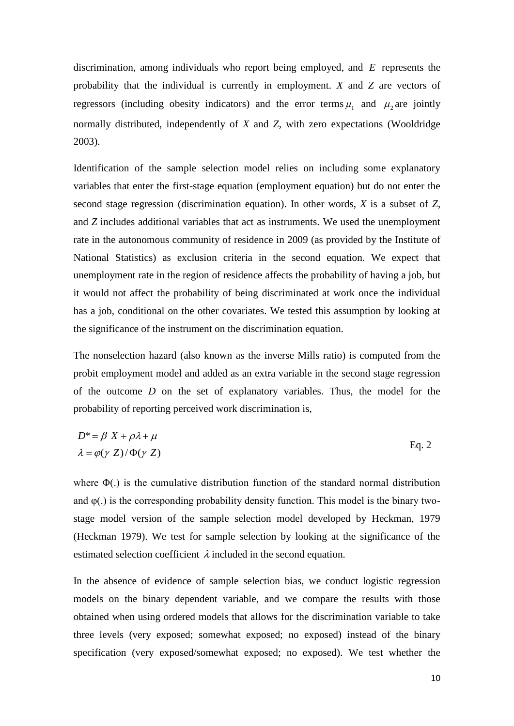discrimination, among individuals who report being employed, and *E* represents the probability that the individual is currently in employment. *X* and *Z* are vectors of regressors (including obesity indicators) and the error terms  $\mu_1$  and  $\mu_2$  are jointly normally distributed, independently of *X* and *Z*, with zero expectations (Wooldridge 2003).

Identification of the sample selection model relies on including some explanatory variables that enter the first-stage equation (employment equation) but do not enter the second stage regression (discrimination equation). In other words, *X* is a subset of *Z*, and *Z* includes additional variables that act as instruments. We used the unemployment rate in the autonomous community of residence in 2009 (as provided by the Institute of National Statistics) as exclusion criteria in the second equation. We expect that unemployment rate in the region of residence affects the probability of having a job, but it would not affect the probability of being discriminated at work once the individual has a job, conditional on the other covariates. We tested this assumption by looking at the significance of the instrument on the discrimination equation.

The nonselection hazard (also known as the inverse Mills ratio) is computed from the probit employment model and added as an extra variable in the second stage regression of the outcome *D* on the set of explanatory variables. Thus, the model for the probability of reporting perceived work discrimination is,

$$
D^* = \beta X + \rho \lambda + \mu
$$
  
 
$$
\lambda = \varphi(\gamma Z) / \Phi(\gamma Z)
$$
 Eq. 2

where  $\Phi(.)$  is the cumulative distribution function of the standard normal distribution and  $\varphi$ (.) is the corresponding probability density function. This model is the binary twostage model version of the sample selection model developed by Heckman, 1979 (Heckman 1979). We test for sample selection by looking at the significance of the estimated selection coefficient  $\lambda$  included in the second equation.

In the absence of evidence of sample selection bias, we conduct logistic regression models on the binary dependent variable, and we compare the results with those obtained when using ordered models that allows for the discrimination variable to take three levels (very exposed; somewhat exposed; no exposed) instead of the binary specification (very exposed/somewhat exposed; no exposed). We test whether the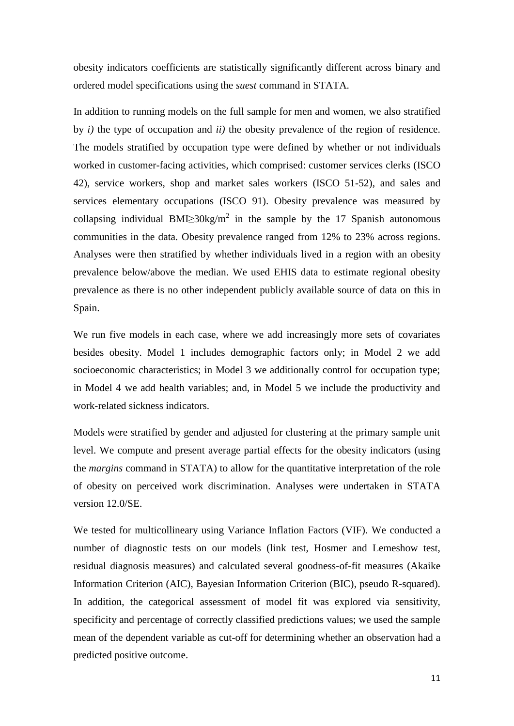obesity indicators coefficients are statistically significantly different across binary and ordered model specifications using the *suest* command in STATA.

In addition to running models on the full sample for men and women, we also stratified by *i)* the type of occupation and *ii)* the obesity prevalence of the region of residence. The models stratified by occupation type were defined by whether or not individuals worked in customer-facing activities, which comprised: customer services clerks (ISCO 42), service workers, shop and market sales workers (ISCO 51-52), and sales and services elementary occupations (ISCO 91). Obesity prevalence was measured by collapsing individual BMI $\geq 30$ kg/m<sup>2</sup> in the sample by the 17 Spanish autonomous communities in the data. Obesity prevalence ranged from 12% to 23% across regions. Analyses were then stratified by whether individuals lived in a region with an obesity prevalence below/above the median. We used EHIS data to estimate regional obesity prevalence as there is no other independent publicly available source of data on this in Spain.

We run five models in each case, where we add increasingly more sets of covariates besides obesity. Model 1 includes demographic factors only; in Model 2 we add socioeconomic characteristics; in Model 3 we additionally control for occupation type; in Model 4 we add health variables; and, in Model 5 we include the productivity and work-related sickness indicators.

Models were stratified by gender and adjusted for clustering at the primary sample unit level. We compute and present average partial effects for the obesity indicators (using the *margins* command in STATA) to allow for the quantitative interpretation of the role of obesity on perceived work discrimination. Analyses were undertaken in STATA version 12.0/SE.

We tested for multicollineary using Variance Inflation Factors (VIF). We conducted a number of diagnostic tests on our models (link test, Hosmer and Lemeshow test, residual diagnosis measures) and calculated several goodness-of-fit measures (Akaike Information Criterion (AIC), Bayesian Information Criterion (BIC), pseudo R-squared). In addition, the categorical assessment of model fit was explored via sensitivity, specificity and percentage of correctly classified predictions values; we used the sample mean of the dependent variable as cut-off for determining whether an observation had a predicted positive outcome.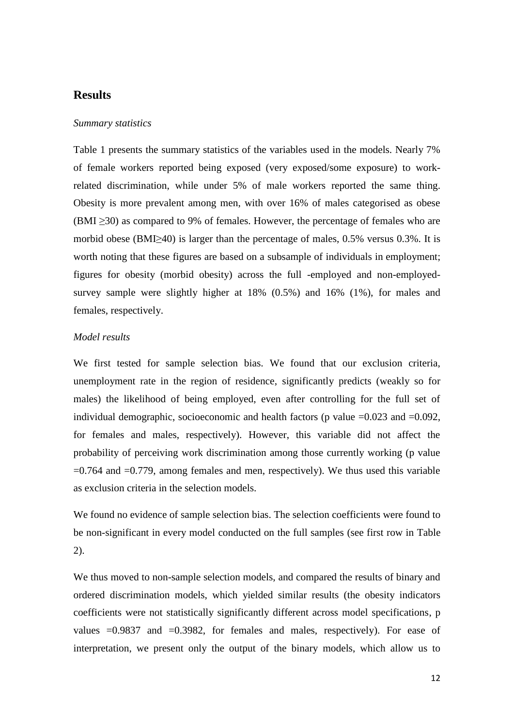## **Results**

#### *Summary statistics*

Table 1 presents the summary statistics of the variables used in the models. Nearly 7% of female workers reported being exposed (very exposed/some exposure) to workrelated discrimination, while under 5% of male workers reported the same thing. Obesity is more prevalent among men, with over 16% of males categorised as obese  $(BMI \geq 30)$  as compared to 9% of females. However, the percentage of females who are morbid obese (BMI≥40) is larger than the percentage of males, 0.5% versus 0.3%. It is worth noting that these figures are based on a subsample of individuals in employment; figures for obesity (morbid obesity) across the full -employed and non-employedsurvey sample were slightly higher at 18% (0.5%) and 16% (1%), for males and females, respectively.

### *Model results*

We first tested for sample selection bias. We found that our exclusion criteria, unemployment rate in the region of residence, significantly predicts (weakly so for males) the likelihood of being employed, even after controlling for the full set of individual demographic, socioeconomic and health factors (p value  $=0.023$  and  $=0.092$ , for females and males, respectively). However, this variable did not affect the probability of perceiving work discrimination among those currently working (p value  $=0.764$  and  $=0.779$ , among females and men, respectively). We thus used this variable as exclusion criteria in the selection models.

We found no evidence of sample selection bias. The selection coefficients were found to be non-significant in every model conducted on the full samples (see first row in Table 2).

We thus moved to non-sample selection models, and compared the results of binary and ordered discrimination models, which yielded similar results (the obesity indicators coefficients were not statistically significantly different across model specifications, p values  $=0.9837$  and  $=0.3982$ , for females and males, respectively). For ease of interpretation, we present only the output of the binary models, which allow us to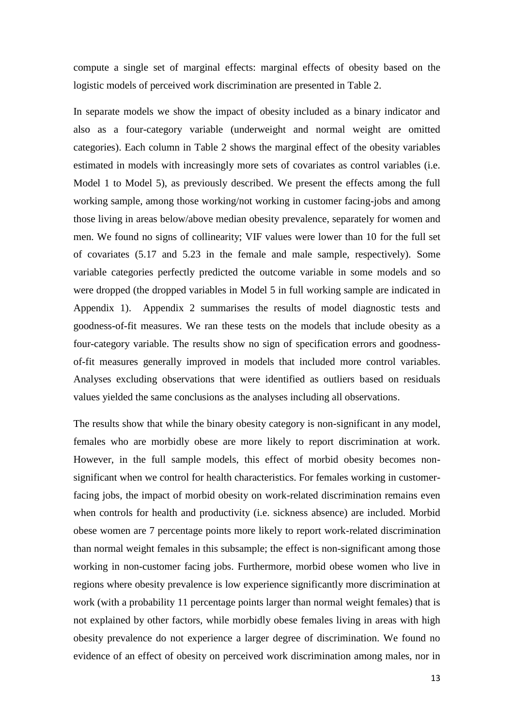compute a single set of marginal effects: marginal effects of obesity based on the logistic models of perceived work discrimination are presented in Table 2.

In separate models we show the impact of obesity included as a binary indicator and also as a four-category variable (underweight and normal weight are omitted categories). Each column in Table 2 shows the marginal effect of the obesity variables estimated in models with increasingly more sets of covariates as control variables (i.e. Model 1 to Model 5), as previously described. We present the effects among the full working sample, among those working/not working in customer facing-jobs and among those living in areas below/above median obesity prevalence, separately for women and men. We found no signs of collinearity; VIF values were lower than 10 for the full set of covariates (5.17 and 5.23 in the female and male sample, respectively). Some variable categories perfectly predicted the outcome variable in some models and so were dropped (the dropped variables in Model 5 in full working sample are indicated in Appendix 1). Appendix 2 summarises the results of model diagnostic tests and goodness-of-fit measures. We ran these tests on the models that include obesity as a four-category variable. The results show no sign of specification errors and goodnessof-fit measures generally improved in models that included more control variables. Analyses excluding observations that were identified as outliers based on residuals values yielded the same conclusions as the analyses including all observations.

The results show that while the binary obesity category is non-significant in any model, females who are morbidly obese are more likely to report discrimination at work. However, in the full sample models, this effect of morbid obesity becomes nonsignificant when we control for health characteristics. For females working in customerfacing jobs, the impact of morbid obesity on work-related discrimination remains even when controls for health and productivity (i.e. sickness absence) are included. Morbid obese women are 7 percentage points more likely to report work-related discrimination than normal weight females in this subsample; the effect is non-significant among those working in non-customer facing jobs. Furthermore, morbid obese women who live in regions where obesity prevalence is low experience significantly more discrimination at work (with a probability 11 percentage points larger than normal weight females) that is not explained by other factors, while morbidly obese females living in areas with high obesity prevalence do not experience a larger degree of discrimination. We found no evidence of an effect of obesity on perceived work discrimination among males, nor in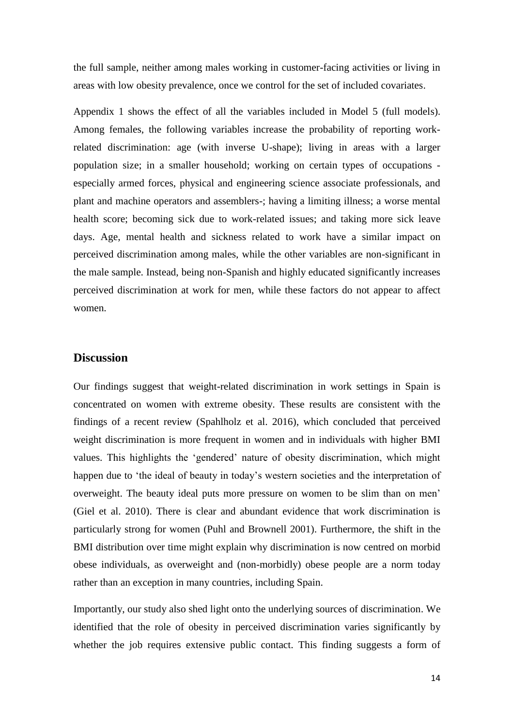the full sample, neither among males working in customer-facing activities or living in areas with low obesity prevalence, once we control for the set of included covariates.

Appendix 1 shows the effect of all the variables included in Model 5 (full models). Among females, the following variables increase the probability of reporting workrelated discrimination: age (with inverse U-shape); living in areas with a larger population size; in a smaller household; working on certain types of occupations especially armed forces, physical and engineering science associate professionals, and plant and machine operators and assemblers-; having a limiting illness; a worse mental health score; becoming sick due to work-related issues; and taking more sick leave days. Age, mental health and sickness related to work have a similar impact on perceived discrimination among males, while the other variables are non-significant in the male sample. Instead, being non-Spanish and highly educated significantly increases perceived discrimination at work for men, while these factors do not appear to affect women.

## **Discussion**

Our findings suggest that weight-related discrimination in work settings in Spain is concentrated on women with extreme obesity. These results are consistent with the findings of a recent review (Spahlholz et al. 2016), which concluded that perceived weight discrimination is more frequent in women and in individuals with higher BMI values. This highlights the 'gendered' nature of obesity discrimination, which might happen due to 'the ideal of beauty in today's western societies and the interpretation of overweight. The beauty ideal puts more pressure on women to be slim than on men' (Giel et al. 2010). There is clear and abundant evidence that work discrimination is particularly strong for women (Puhl and Brownell 2001). Furthermore, the shift in the BMI distribution over time might explain why discrimination is now centred on morbid obese individuals, as overweight and (non-morbidly) obese people are a norm today rather than an exception in many countries, including Spain.

Importantly, our study also shed light onto the underlying sources of discrimination. We identified that the role of obesity in perceived discrimination varies significantly by whether the job requires extensive public contact. This finding suggests a form of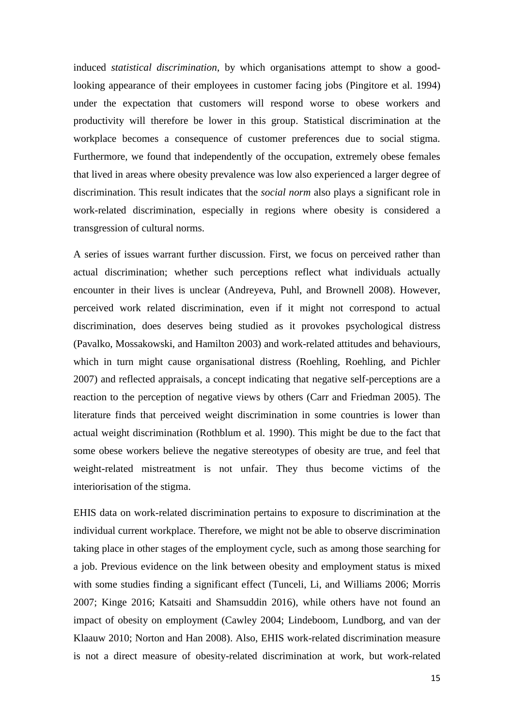induced *statistical discrimination*, by which organisations attempt to show a goodlooking appearance of their employees in customer facing jobs (Pingitore et al. 1994) under the expectation that customers will respond worse to obese workers and productivity will therefore be lower in this group. Statistical discrimination at the workplace becomes a consequence of customer preferences due to social stigma. Furthermore, we found that independently of the occupation, extremely obese females that lived in areas where obesity prevalence was low also experienced a larger degree of discrimination. This result indicates that the *social norm* also plays a significant role in work-related discrimination, especially in regions where obesity is considered a transgression of cultural norms.

A series of issues warrant further discussion. First, we focus on perceived rather than actual discrimination; whether such perceptions reflect what individuals actually encounter in their lives is unclear (Andreyeva, Puhl, and Brownell 2008). However, perceived work related discrimination, even if it might not correspond to actual discrimination, does deserves being studied as it provokes psychological distress (Pavalko, Mossakowski, and Hamilton 2003) and work-related attitudes and behaviours, which in turn might cause organisational distress (Roehling, Roehling, and Pichler 2007) and reflected appraisals, a concept indicating that negative self-perceptions are a reaction to the perception of negative views by others (Carr and Friedman 2005). The literature finds that perceived weight discrimination in some countries is lower than actual weight discrimination (Rothblum et al. 1990). This might be due to the fact that some obese workers believe the negative stereotypes of obesity are true, and feel that weight-related mistreatment is not unfair. They thus become victims of the interiorisation of the stigma.

EHIS data on work-related discrimination pertains to exposure to discrimination at the individual current workplace. Therefore, we might not be able to observe discrimination taking place in other stages of the employment cycle, such as among those searching for a job. Previous evidence on the link between obesity and employment status is mixed with some studies finding a significant effect (Tunceli, Li, and Williams 2006; Morris 2007; Kinge 2016; Katsaiti and Shamsuddin 2016), while others have not found an impact of obesity on employment (Cawley 2004; Lindeboom, Lundborg, and van der Klaauw 2010; Norton and Han 2008). Also, EHIS work-related discrimination measure is not a direct measure of obesity-related discrimination at work, but work-related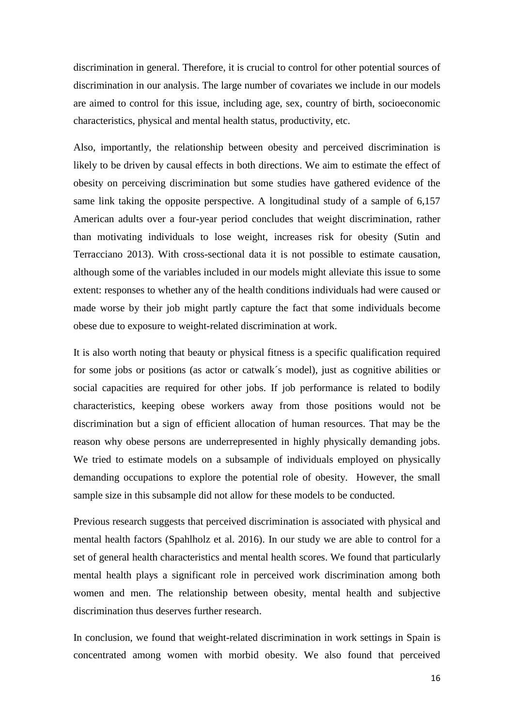discrimination in general. Therefore, it is crucial to control for other potential sources of discrimination in our analysis. The large number of covariates we include in our models are aimed to control for this issue, including age, sex, country of birth, socioeconomic characteristics, physical and mental health status, productivity, etc.

Also, importantly, the relationship between obesity and perceived discrimination is likely to be driven by causal effects in both directions. We aim to estimate the effect of obesity on perceiving discrimination but some studies have gathered evidence of the same link taking the opposite perspective. A longitudinal study of a sample of 6,157 American adults over a four-year period concludes that weight discrimination, rather than motivating individuals to lose weight, increases risk for obesity (Sutin and Terracciano 2013). With cross-sectional data it is not possible to estimate causation, although some of the variables included in our models might alleviate this issue to some extent: responses to whether any of the health conditions individuals had were caused or made worse by their job might partly capture the fact that some individuals become obese due to exposure to weight-related discrimination at work.

It is also worth noting that beauty or physical fitness is a specific qualification required for some jobs or positions (as actor or catwalk´s model), just as cognitive abilities or social capacities are required for other jobs. If job performance is related to bodily characteristics, keeping obese workers away from those positions would not be discrimination but a sign of efficient allocation of human resources. That may be the reason why obese persons are underrepresented in highly physically demanding jobs. We tried to estimate models on a subsample of individuals employed on physically demanding occupations to explore the potential role of obesity. However, the small sample size in this subsample did not allow for these models to be conducted.

Previous research suggests that perceived discrimination is associated with physical and mental health factors (Spahlholz et al. 2016). In our study we are able to control for a set of general health characteristics and mental health scores. We found that particularly mental health plays a significant role in perceived work discrimination among both women and men. The relationship between obesity, mental health and subjective discrimination thus deserves further research.

In conclusion, we found that weight-related discrimination in work settings in Spain is concentrated among women with morbid obesity. We also found that perceived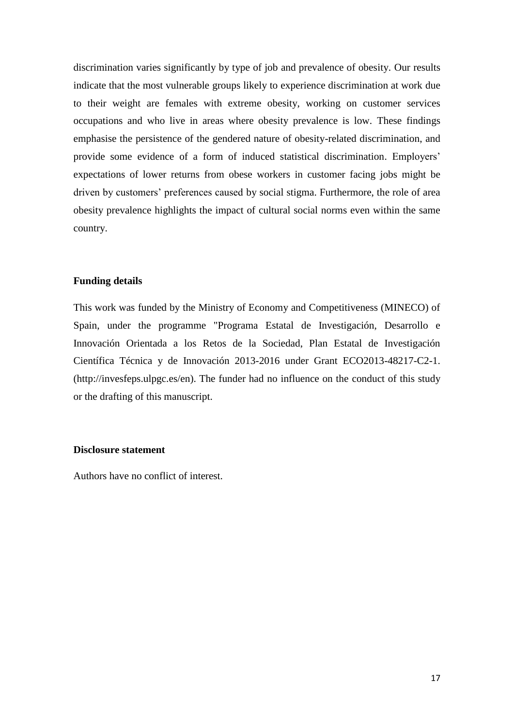discrimination varies significantly by type of job and prevalence of obesity. Our results indicate that the most vulnerable groups likely to experience discrimination at work due to their weight are females with extreme obesity, working on customer services occupations and who live in areas where obesity prevalence is low. These findings emphasise the persistence of the gendered nature of obesity-related discrimination, and provide some evidence of a form of induced statistical discrimination. Employers' expectations of lower returns from obese workers in customer facing jobs might be driven by customers' preferences caused by social stigma. Furthermore, the role of area obesity prevalence highlights the impact of cultural social norms even within the same country.

#### **Funding details**

This work was funded by the Ministry of Economy and Competitiveness (MINECO) of Spain, under the programme "Programa Estatal de Investigación, Desarrollo e Innovación Orientada a los Retos de la Sociedad, Plan Estatal de Investigación Científica Técnica y de Innovación 2013-2016 under Grant ECO2013-48217-C2-1. (http://invesfeps.ulpgc.es/en). The funder had no influence on the conduct of this study or the drafting of this manuscript.

## **Disclosure statement**

Authors have no conflict of interest.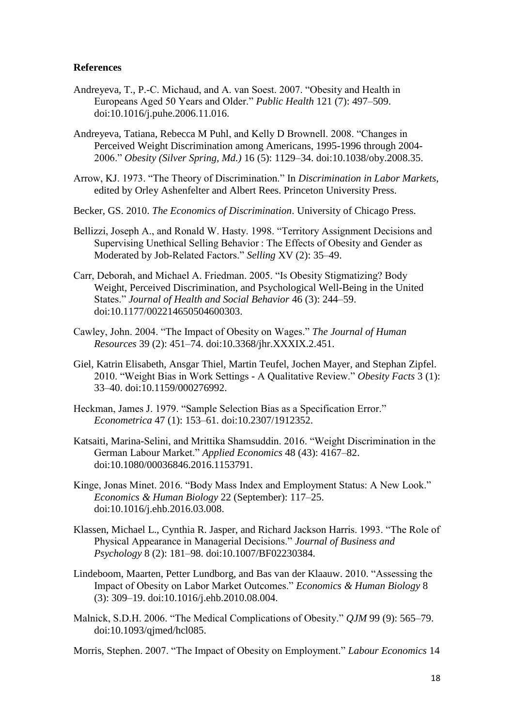### **References**

- Andreyeva, T., P.-C. Michaud, and A. van Soest. 2007. "Obesity and Health in Europeans Aged 50 Years and Older." *Public Health* 121 (7): 497–509. doi:10.1016/j.puhe.2006.11.016.
- Andreyeva, Tatiana, Rebecca M Puhl, and Kelly D Brownell. 2008. "Changes in Perceived Weight Discrimination among Americans, 1995-1996 through 2004- 2006." *Obesity (Silver Spring, Md.)* 16 (5): 1129–34. doi:10.1038/oby.2008.35.
- Arrow, KJ. 1973. "The Theory of Discrimination." In *Discrimination in Labor Markets*, edited by Orley Ashenfelter and Albert Rees. Princeton University Press.
- Becker, GS. 2010. *The Economics of Discrimination*. University of Chicago Press.
- Bellizzi, Joseph A., and Ronald W. Hasty. 1998. "Territory Assignment Decisions and Supervising Unethical Selling Behavior : The Effects of Obesity and Gender as Moderated by Job-Related Factors." *Selling* XV (2): 35–49.
- Carr, Deborah, and Michael A. Friedman. 2005. "Is Obesity Stigmatizing? Body Weight, Perceived Discrimination, and Psychological Well-Being in the United States." *Journal of Health and Social Behavior* 46 (3): 244–59. doi:10.1177/002214650504600303.
- Cawley, John. 2004. "The Impact of Obesity on Wages." *The Journal of Human Resources* 39 (2): 451–74. doi:10.3368/jhr.XXXIX.2.451.
- Giel, Katrin Elisabeth, Ansgar Thiel, Martin Teufel, Jochen Mayer, and Stephan Zipfel. 2010. "Weight Bias in Work Settings - A Qualitative Review." *Obesity Facts* 3 (1): 33–40. doi:10.1159/000276992.
- Heckman, James J. 1979. "Sample Selection Bias as a Specification Error." *Econometrica* 47 (1): 153–61. doi:10.2307/1912352.
- Katsaiti, Marina-Selini, and Mrittika Shamsuddin. 2016. "Weight Discrimination in the German Labour Market." *Applied Economics* 48 (43): 4167–82. doi:10.1080/00036846.2016.1153791.
- Kinge, Jonas Minet. 2016. "Body Mass Index and Employment Status: A New Look." *Economics & Human Biology* 22 (September): 117–25. doi:10.1016/j.ehb.2016.03.008.
- Klassen, Michael L., Cynthia R. Jasper, and Richard Jackson Harris. 1993. "The Role of Physical Appearance in Managerial Decisions." *Journal of Business and Psychology* 8 (2): 181–98. doi:10.1007/BF02230384.
- Lindeboom, Maarten, Petter Lundborg, and Bas van der Klaauw. 2010. "Assessing the Impact of Obesity on Labor Market Outcomes." *Economics & Human Biology* 8 (3): 309–19. doi:10.1016/j.ehb.2010.08.004.
- Malnick, S.D.H. 2006. "The Medical Complications of Obesity." *QJM* 99 (9): 565–79. doi:10.1093/qjmed/hcl085.

Morris, Stephen. 2007. "The Impact of Obesity on Employment." *Labour Economics* 14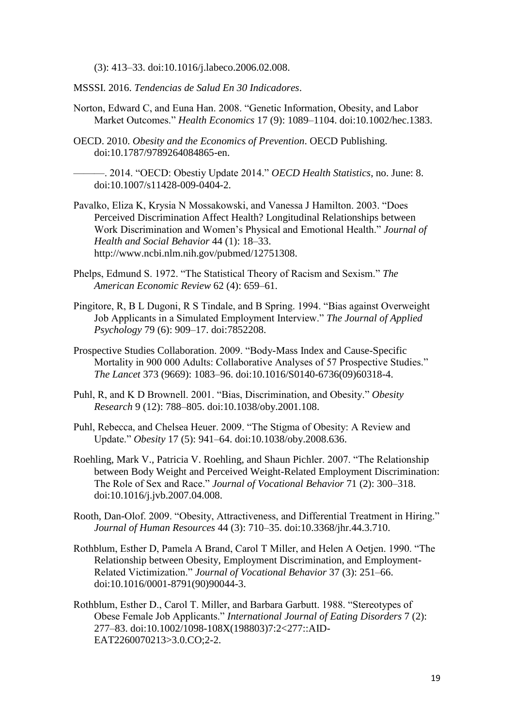(3): 413–33. doi:10.1016/j.labeco.2006.02.008.

- MSSSI. 2016. *Tendencias de Salud En 30 Indicadores*.
- Norton, Edward C, and Euna Han. 2008. "Genetic Information, Obesity, and Labor Market Outcomes." *Health Economics* 17 (9): 1089–1104. doi:10.1002/hec.1383.
- OECD. 2010. *Obesity and the Economics of Prevention*. OECD Publishing. doi:10.1787/9789264084865-en.

———. 2014. "OECD: Obestiy Update 2014." *OECD Health Statistics*, no. June: 8. doi:10.1007/s11428-009-0404-2.

- Pavalko, Eliza K, Krysia N Mossakowski, and Vanessa J Hamilton. 2003. "Does Perceived Discrimination Affect Health? Longitudinal Relationships between Work Discrimination and Women's Physical and Emotional Health." *Journal of Health and Social Behavior* 44 (1): 18–33. http://www.ncbi.nlm.nih.gov/pubmed/12751308.
- Phelps, Edmund S. 1972. "The Statistical Theory of Racism and Sexism." *The American Economic Review* 62 (4): 659–61.
- Pingitore, R, B L Dugoni, R S Tindale, and B Spring. 1994. "Bias against Overweight Job Applicants in a Simulated Employment Interview." *The Journal of Applied Psychology* 79 (6): 909–17. doi:7852208.
- Prospective Studies Collaboration. 2009. "Body-Mass Index and Cause-Specific Mortality in 900 000 Adults: Collaborative Analyses of 57 Prospective Studies." *The Lancet* 373 (9669): 1083–96. doi:10.1016/S0140-6736(09)60318-4.
- Puhl, R, and K D Brownell. 2001. "Bias, Discrimination, and Obesity." *Obesity Research* 9 (12): 788–805. doi:10.1038/oby.2001.108.
- Puhl, Rebecca, and Chelsea Heuer. 2009. "The Stigma of Obesity: A Review and Update." *Obesity* 17 (5): 941–64. doi:10.1038/oby.2008.636.
- Roehling, Mark V., Patricia V. Roehling, and Shaun Pichler. 2007. "The Relationship between Body Weight and Perceived Weight-Related Employment Discrimination: The Role of Sex and Race." *Journal of Vocational Behavior* 71 (2): 300–318. doi:10.1016/j.jvb.2007.04.008.
- Rooth, Dan-Olof. 2009. "Obesity, Attractiveness, and Differential Treatment in Hiring." *Journal of Human Resources* 44 (3): 710–35. doi:10.3368/jhr.44.3.710.
- Rothblum, Esther D, Pamela A Brand, Carol T Miller, and Helen A Oetjen. 1990. "The Relationship between Obesity, Employment Discrimination, and Employment-Related Victimization." *Journal of Vocational Behavior* 37 (3): 251–66. doi:10.1016/0001-8791(90)90044-3.
- Rothblum, Esther D., Carol T. Miller, and Barbara Garbutt. 1988. "Stereotypes of Obese Female Job Applicants." *International Journal of Eating Disorders* 7 (2): 277–83. doi:10.1002/1098-108X(198803)7:2<277::AID-EAT2260070213>3.0.CO;2-2.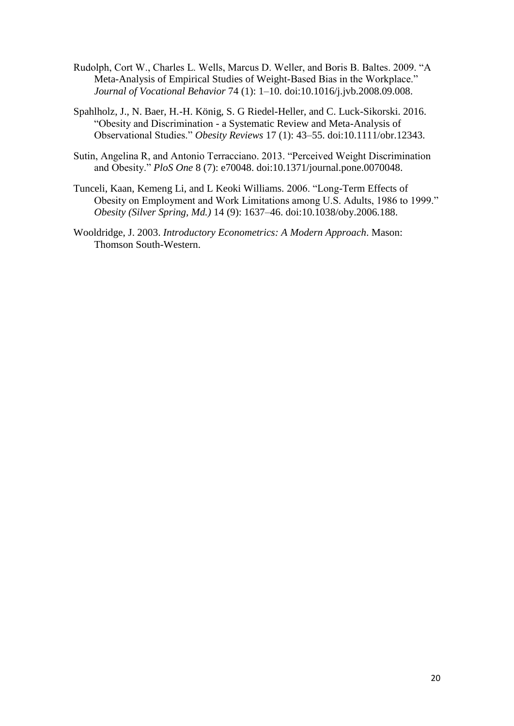- Rudolph, Cort W., Charles L. Wells, Marcus D. Weller, and Boris B. Baltes. 2009. "A Meta-Analysis of Empirical Studies of Weight-Based Bias in the Workplace." *Journal of Vocational Behavior* 74 (1): 1–10. doi:10.1016/j.jvb.2008.09.008.
- Spahlholz, J., N. Baer, H.-H. König, S. G Riedel-Heller, and C. Luck-Sikorski. 2016. "Obesity and Discrimination - a Systematic Review and Meta-Analysis of Observational Studies." *Obesity Reviews* 17 (1): 43–55. doi:10.1111/obr.12343.
- Sutin, Angelina R, and Antonio Terracciano. 2013. "Perceived Weight Discrimination and Obesity." *PloS One* 8 (7): e70048. doi:10.1371/journal.pone.0070048.
- Tunceli, Kaan, Kemeng Li, and L Keoki Williams. 2006. "Long-Term Effects of Obesity on Employment and Work Limitations among U.S. Adults, 1986 to 1999." *Obesity (Silver Spring, Md.)* 14 (9): 1637–46. doi:10.1038/oby.2006.188.
- Wooldridge, J. 2003. *Introductory Econometrics: A Modern Approach*. Mason: Thomson South-Western.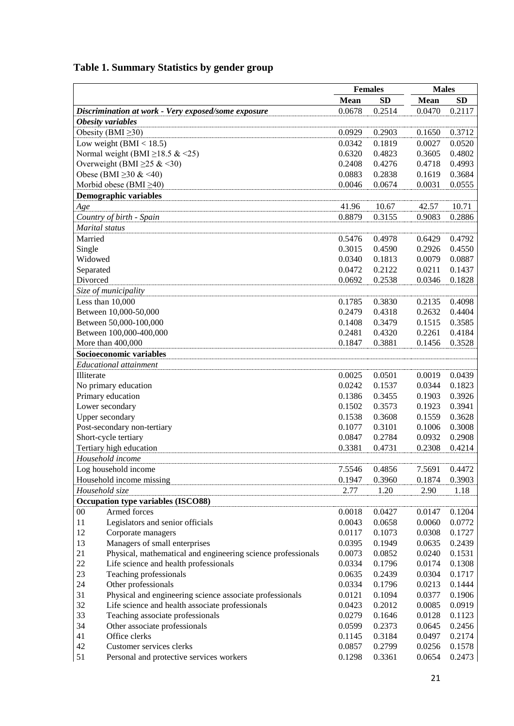# **Table 1. Summary Statistics by gender group**

|                                                                    | <b>Females</b> | <b>Males</b> |                  |           |
|--------------------------------------------------------------------|----------------|--------------|------------------|-----------|
|                                                                    | <b>Mean</b>    | <b>SD</b>    | <b>Mean</b>      | <b>SD</b> |
| Discrimination at work - Very exposed/some exposure                | 0.0678         | 0.2514       | 0.0470           | 0.2117    |
| <b>Obesity variables</b>                                           |                |              |                  |           |
| Obesity (BMI $\geq 30$ )                                           | 0.0929         | 0.2903       | 0.1650           | 0.3712    |
| Low weight $(BMI < 18.5)$                                          | 0.0342         | 0.1819       | 0.0027           | 0.0520    |
| Normal weight (BMI $\geq$ 18.5 & <25)                              | 0.6320         | 0.4823       | 0.3605           | 0.4802    |
| Overweight (BMI $\geq$ 25 & <30)                                   | 0.2408         | 0.4276       | 0.4718           | 0.4993    |
| Obese (BMI $\geq 30 \< 40$ )                                       | 0.0883         | 0.2838       | 0.1619           | 0.3684    |
| Morbid obese (BMI $\geq$ 40)                                       | 0.0046         | 0.0674       | 0.0031           | 0.0555    |
| <b>Demographic variables</b>                                       |                |              |                  |           |
| Age                                                                | 41.96          | 10.67        | 42.57            | 10.71     |
| Country of birth - Spain                                           | 0.8879         | 0.3155       | 0.9083           | 0.2886    |
| Marital status                                                     |                |              |                  |           |
| Married                                                            | 0.5476         | 0.4978       | 0.6429           | 0.4792    |
| Single                                                             | 0.3015         | 0.4590       | 0.2926           | 0.4550    |
| Widowed                                                            | 0.0340         | 0.1813       | 0.0079           | 0.0887    |
| Separated                                                          | 0.0472         | 0.2122       | 0.0211           | 0.1437    |
| Divorced                                                           | 0.0692         | 0.2538       | 0.0346           | 0.1828    |
| Size of municipality                                               |                |              |                  |           |
| Less than 10,000                                                   | 0.1785         | 0.3830       | 0.2135           | 0.4098    |
| Between 10,000-50,000                                              | 0.2479         | 0.4318       | 0.2632           | 0.4404    |
| Between 50,000-100,000                                             | 0.1408         | 0.3479       | 0.1515           | 0.3585    |
| Between 100,000-400,000                                            | 0.2481         | 0.4320       | 0.2261           | 0.4184    |
| More than 400,000                                                  | 0.1847         | 0.3881       | 0.1456           | 0.3528    |
| Socioeconomic variables                                            |                |              |                  |           |
| <b>Educational</b> attainment                                      |                |              |                  |           |
| Illiterate                                                         | 0.0025         | 0.0501       | 0.0019           | 0.0439    |
| No primary education                                               | 0.0242         | 0.1537       | 0.0344           | 0.1823    |
| Primary education                                                  | 0.1386         | 0.3455       | 0.1903           | 0.3926    |
| Lower secondary                                                    | 0.1502         | 0.3573       | 0.1923           | 0.3941    |
| <b>Upper secondary</b>                                             | 0.1538         | 0.3608       | 0.1559           | 0.3628    |
| Post-secondary non-tertiary                                        | 0.1077         | 0.3101       | 0.1006           | 0.3008    |
| Short-cycle tertiary                                               | 0.0847         | 0.2784       | 0.0932           | 0.2908    |
| Tertiary high education                                            | 0.3381         | 0.4731       | 0.2308           | 0.4214    |
| Household income                                                   |                |              |                  |           |
| Log household income                                               | 7.5546         | 0.4856       | 7.5691           | 0.4472    |
| Household income missing                                           | 0.1947         | 0.3960       | 0.1874           | 0.3903    |
| Household size                                                     | 2.77           | 1.20         | 2.90             | 1.18      |
| <b>Occupation type variables (ISCO88)</b>                          |                |              |                  |           |
| $00\,$<br>Armed forces                                             | 0.0018         | 0.0427       |                  | 0.1204    |
| 11<br>Legislators and senior officials                             | 0.0043         | 0.0658       | 0.0147<br>0.0060 | 0.0772    |
| 12<br>Corporate managers                                           | 0.0117         | 0.1073       | 0.0308           | 0.1727    |
| 13<br>Managers of small enterprises                                | 0.0395         | 0.1949       | 0.0635           | 0.2439    |
| 21<br>Physical, mathematical and engineering science professionals | 0.0073         | 0.0852       | 0.0240           | 0.1531    |
| 22<br>Life science and health professionals                        | 0.0334         | 0.1796       | 0.0174           | 0.1308    |
| 23<br>Teaching professionals                                       | 0.0635         | 0.2439       | 0.0304           | 0.1717    |
| 24<br>Other professionals                                          | 0.0334         | 0.1796       | 0.0213           | 0.1444    |
| 31<br>Physical and engineering science associate professionals     | 0.0121         | 0.1094       | 0.0377           | 0.1906    |
| 32<br>Life science and health associate professionals              | 0.0423         | 0.2012       | 0.0085           | 0.0919    |
| 33<br>Teaching associate professionals                             | 0.0279         | 0.1646       | 0.0128           | 0.1123    |
| 34<br>Other associate professionals                                | 0.0599         | 0.2373       | 0.0645           | 0.2456    |
| Office clerks<br>41                                                | 0.1145         | 0.3184       | 0.0497           | 0.2174    |
| 42<br>Customer services clerks                                     | 0.0857         | 0.2799       | 0.0256           | 0.1578    |
| 51<br>Personal and protective services workers                     | 0.1298         | 0.3361       | 0.0654           | 0.2473    |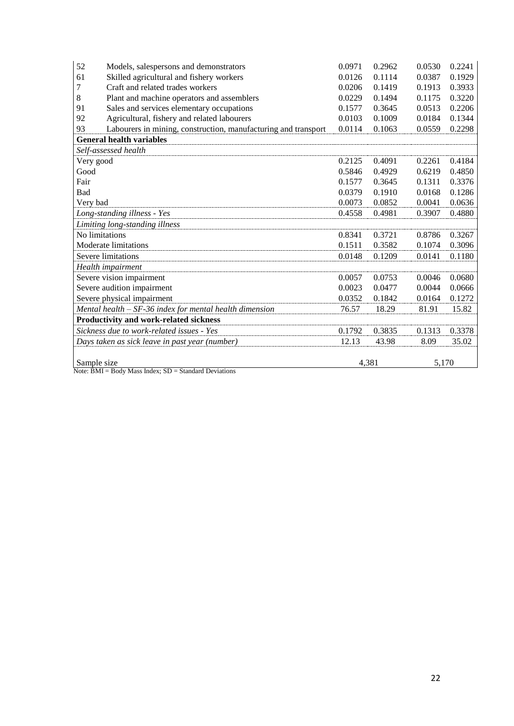| 52<br>Models, salespersons and demonstrators                         | 0.0971 | 0.2962 | 0.0530 | 0.2241 |  |
|----------------------------------------------------------------------|--------|--------|--------|--------|--|
| Skilled agricultural and fishery workers<br>61                       | 0.0126 | 0.1114 | 0.0387 | 0.1929 |  |
| Craft and related trades workers<br>7                                | 0.0206 | 0.1419 | 0.1913 | 0.3933 |  |
| 8<br>Plant and machine operators and assemblers                      | 0.0229 | 0.1494 | 0.1175 | 0.3220 |  |
| Sales and services elementary occupations<br>91                      | 0.1577 | 0.3645 | 0.0513 | 0.2206 |  |
| 92<br>Agricultural, fishery and related labourers                    | 0.0103 | 0.1009 | 0.0184 | 0.1344 |  |
| 93<br>Labourers in mining, construction, manufacturing and transport | 0.0114 | 0.1063 | 0.0559 | 0.2298 |  |
| <b>General health variables</b>                                      |        |        |        |        |  |
| Self-assessed health                                                 |        |        |        |        |  |
| Very good                                                            | 0.2125 | 0.4091 | 0.2261 | 0.4184 |  |
| Good                                                                 | 0.5846 | 0.4929 | 0.6219 | 0.4850 |  |
| Fair                                                                 | 0.1577 | 0.3645 | 0.1311 | 0.3376 |  |
| Bad                                                                  | 0.0379 | 0.1910 | 0.0168 | 0.1286 |  |
| Very bad                                                             | 0.0073 | 0.0852 | 0.0041 | 0.0636 |  |
| Long-standing illness - Yes                                          | 0.4558 | 0.4981 | 0.3907 | 0.4880 |  |
| Limiting long-standing illness                                       |        |        |        |        |  |
| No limitations                                                       | 0.8341 | 0.3721 | 0.8786 | 0.3267 |  |
| Moderate limitations                                                 | 0.1511 | 0.3582 | 0.1074 | 0.3096 |  |
| Severe limitations                                                   | 0.0148 | 0.1209 | 0.0141 | 0.1180 |  |
| Health impairment                                                    |        |        |        |        |  |
| Severe vision impairment                                             | 0.0057 | 0.0753 | 0.0046 | 0.0680 |  |
| Severe audition impairment                                           | 0.0023 | 0.0477 | 0.0044 | 0.0666 |  |
| Severe physical impairment                                           | 0.0352 | 0.1842 | 0.0164 | 0.1272 |  |
| Mental health $-$ SF-36 index for mental health dimension            | 76.57  | 18.29  | 81.91  | 15.82  |  |
| <b>Productivity and work-related sickness</b>                        |        |        |        |        |  |
| Sickness due to work-related issues - Yes                            | 0.1792 | 0.3835 | 0.1313 | 0.3378 |  |
| Days taken as sick leave in past year (number)                       | 12.13  | 43.98  | 8.09   | 35.02  |  |
| Sample size                                                          |        | 4,381  | 5,170  |        |  |
| Note: $BMI = Body Mass Index$ ; $SD = Standard Deviations$           |        |        |        |        |  |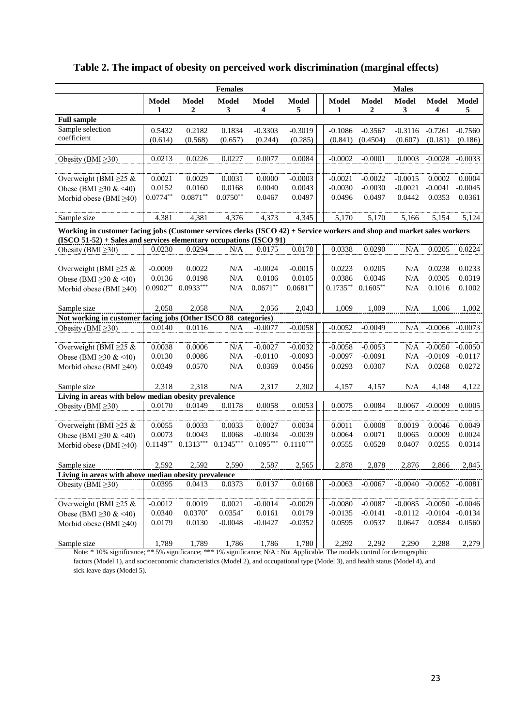|                                                                                                                         | <b>Females</b>    |             |                              |                   |             | <b>Males</b> |                   |                                  |            |                    |                   |  |  |
|-------------------------------------------------------------------------------------------------------------------------|-------------------|-------------|------------------------------|-------------------|-------------|--------------|-------------------|----------------------------------|------------|--------------------|-------------------|--|--|
|                                                                                                                         | <b>Model</b><br>1 | Model<br>2  | <b>Model</b><br>$\mathbf{3}$ | <b>Model</b><br>4 | Model<br>5  |              | <b>Model</b><br>1 | <b>Model</b><br>$\boldsymbol{2}$ | Model<br>3 | Model<br>4         | <b>Model</b><br>5 |  |  |
| <b>Full sample</b>                                                                                                      |                   |             |                              |                   |             |              |                   |                                  |            |                    |                   |  |  |
| Sample selection                                                                                                        | 0.5432            | 0.2182      | 0.1834                       | $-0.3303$         | $-0.3019$   |              | $-0.1086$         | $-0.3567$                        |            | $-0.3116 - 0.7261$ | $-0.7560$         |  |  |
| coefficient                                                                                                             | (0.614)           | (0.568)     | (0.657)                      | (0.244)           | (0.285)     |              | (0.841)           | (0.4504)                         | (0.607)    | (0.181)            | (0.186)           |  |  |
|                                                                                                                         |                   |             |                              |                   |             |              |                   |                                  |            |                    |                   |  |  |
| Obesity (BMI $\geq$ 30)                                                                                                 | 0.0213            | 0.0226      | 0.0227                       | 0.0077            | 0.0084      |              | $-0.0002$         | $-0.0001$                        | 0.0003     | $-0.0028$          | $-0.0033$         |  |  |
| Overweight (BMI $\geq$ 25 &                                                                                             | 0.0021            | 0.0029      | 0.0031                       | 0.0000            | $-0.0003$   |              | $-0.0021$         | $-0.0022$                        | $-0.0015$  | 0.0002             | 0.0004            |  |  |
| Obese (BMI $\geq 30 \< 40$ )                                                                                            | 0.0152            | 0.0160      | 0.0168                       | 0.0040            | 0.0043      |              | $-0.0030$         | $-0.0030$                        | $-0.0021$  | $-0.0041$          | $-0.0045$         |  |  |
| Morbid obese (BMI $\geq$ 40)                                                                                            | $0.0774**$        | $0.0871**$  | $0.0750**$                   | 0.0467            | 0.0497      |              | 0.0496            | 0.0497                           | 0.0442     | 0.0353             | 0.0361            |  |  |
|                                                                                                                         |                   |             |                              |                   |             |              |                   |                                  |            |                    |                   |  |  |
| Sample size                                                                                                             | 4,381             | 4,381       | 4,376                        | 4,373             | 4,345       |              | 5,170             | 5,170                            | 5,166      | 5,154              | 5,124             |  |  |
| Working in customer facing jobs (Customer services clerks (ISCO 42) + Service workers and shop and market sales workers |                   |             |                              |                   |             |              |                   |                                  |            |                    |                   |  |  |
| (ISCO 51-52) + Sales and services elementary occupations (ISCO 91)                                                      |                   |             |                              |                   |             |              |                   |                                  |            |                    |                   |  |  |
| Obesity (BMI $\geq$ 30)                                                                                                 | 0.0230            | 0.0294      | N/A                          | 0.0175            | 0.0178      |              | 0.0338            | 0.0290                           | N/A        | 0.0205             | 0.0224            |  |  |
| Overweight (BMI $\geq$ 25 &                                                                                             | $-0.0009$         | 0.0022      | N/A                          | $-0.0024$         | $-0.0015$   |              | 0.0223            | 0.0205                           | N/A        |                    | 0.0233            |  |  |
| Obese (BMI $\geq 30 \< 40$ )                                                                                            | 0.0136            | 0.0198      | N/A                          | 0.0106            | 0.0105      |              | 0.0386            | 0.0346                           | N/A        | 0.0238<br>0.0305   | 0.0319            |  |  |
| Morbid obese (BMI $\geq$ 40)                                                                                            | $0.0902**$        | $0.0933***$ | N/A                          | $0.0671**$        | $0.0681**$  |              | $0.1735***$       | $0.1605***$                      | N/A        | 0.1016             | 0.1002            |  |  |
|                                                                                                                         |                   |             |                              |                   |             |              |                   |                                  |            |                    |                   |  |  |
| Sample size                                                                                                             | 2,058             | 2,058       | N/A                          | 2,056             | 2,043       |              | 1,009             | 1,009                            | N/A        | 1,006              | 1,002             |  |  |
| Not working in customer facing jobs (Other ISCO 88 categories)                                                          |                   |             |                              |                   |             |              |                   |                                  |            |                    |                   |  |  |
| Obesity (BMI $\geq$ 30)                                                                                                 | 0.0140            | 0.0116      | N/A                          | $-0.0077$         | $-0.0058$   |              | $-0.0052$         | $-0.0049$                        | N/A        | $-0.0066$          | $-0.0073$         |  |  |
| Overweight (BMI $\geq$ 25 &                                                                                             | 0.0038            | 0.0006      | N/A                          | $-0.0027$         | $-0.0032$   |              | $-0.0058$         | $-0.0053$                        | N/A        | $-0.0050$          | $-0.0050$         |  |  |
| Obese (BMI $\geq 30 \< 40$ )                                                                                            | 0.0130            | 0.0086      | N/A                          | $-0.0110$         | $-0.0093$   |              | $-0.0097$         | $-0.0091$                        | N/A        | $-0.0109$          | $-0.0117$         |  |  |
| Morbid obese (BMI $\geq 40$ )                                                                                           | 0.0349            | 0.0570      | N/A                          | 0.0369            | 0.0456      |              | 0.0293            | 0.0307                           | N/A        | 0.0268             | 0.0272            |  |  |
|                                                                                                                         |                   |             |                              |                   |             |              |                   |                                  |            |                    |                   |  |  |
| Sample size                                                                                                             | 2,318             | 2,318       | N/A                          | 2,317             | 2,302       |              | 4,157             | 4,157                            | N/A        | 4,148              | 4,122             |  |  |
| Living in areas with below median obesity prevalence                                                                    |                   |             |                              |                   |             |              |                   |                                  |            |                    |                   |  |  |
| Obesity (BMI $\geq$ 30)                                                                                                 | 0.0170            | 0.0149      | 0.0178                       | 0.0058            | 0.0053      |              | 0.0075            | 0.0084                           | 0.0067     | $-0.0009$          | 0.0005            |  |  |
| Overweight (BMI $\geq$ 25 &                                                                                             | 0.0055            | 0.0033      | 0.0033                       | 0.0027            | 0.0034      |              | 0.0011            | 0.0008                           | 0.0019     | 0.0046             | 0.0049            |  |  |
|                                                                                                                         | 0.0073            | 0.0043      | 0.0068                       | $-0.0034$         | $-0.0039$   |              | 0.0064            | 0.0071                           | 0.0065     | 0.0009             | 0.0024            |  |  |
| Obese (BMI $\geq 30 \< 40$ )<br>Morbid obese (BMI $\geq$ 40)                                                            | $0.1149**$        | $0.1313***$ | $0.1345***$                  | $0.1095***$       | $0.1110***$ |              | 0.0555            | 0.0528                           | 0.0407     | 0.0255             | 0.0314            |  |  |
|                                                                                                                         |                   |             |                              |                   |             |              |                   |                                  |            |                    |                   |  |  |
| Sample size                                                                                                             | 2,592             | 2,592       | 2,590                        | 2,587             | 2,565       |              | 2,878             | 2,878                            | 2,876      | 2,866              | 2,845             |  |  |
| Living in areas with above median obesity prevalence                                                                    |                   |             |                              |                   |             |              |                   |                                  |            |                    |                   |  |  |
| Obesity (BMI $\geq$ 30)                                                                                                 | 0.0395            | 0.0413      | 0.0373                       | 0.0137            | 0.0168      |              | $-0.0063$         | $-0.0067$                        | $-0.0040$  | $-0.0052$          | $-0.0081$         |  |  |
| Overweight (BMI $\geq$ 25 &                                                                                             | $-0.0012$         | 0.0019      | 0.0021                       | $-0.0014$         | $-0.0029$   |              | $-0.0080$         | $-0.0087$                        | $-0.0085$  | $-0.0050$          | $-0.0046$         |  |  |
| Obese (BMI $\geq 30 \< 40$ )                                                                                            | 0.0340            | $0.0370*$   | $0.0354*$                    | 0.0161            | 0.0179      |              | $-0.0135$         | $-0.0141$                        | $-0.0112$  | $-0.0104$          | $-0.0134$         |  |  |
| Morbid obese (BMI $\geq 40$ )                                                                                           | 0.0179            | 0.0130      | $-0.0048$                    | $-0.0427$         | $-0.0352$   |              | 0.0595            | 0.0537                           | 0.0647     | 0.0584             | 0.0560            |  |  |
|                                                                                                                         |                   |             |                              |                   |             |              |                   |                                  |            |                    |                   |  |  |
| Sample size                                                                                                             | 1,789             | 1,789       | 1,786                        | 1,786             | 1,780       |              | 2,292             | 2,292                            | 2,290      | 2,288              | 2,279             |  |  |

# **Table 2. The impact of obesity on perceived work discrimination (marginal effects)**

Note: \* 10% significance; \*\* 5% significance; \*\*\* 1% significance; N/A : Not Applicable. The models control for demographic factors (Model 1), and socioeconomic characteristics (Model 2), and occupational type (Model 3), and health status (Model 4), and sick leave days (Model 5).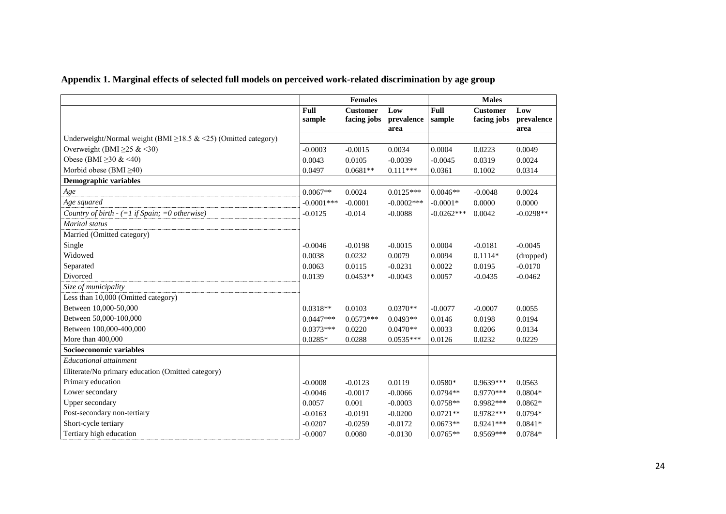# **Appendix 1. Marginal effects of selected full models on perceived work-related discrimination by age group**

|                                                                      |                                       | <b>Females</b> |               | <b>Males</b> |                 |             |  |
|----------------------------------------------------------------------|---------------------------------------|----------------|---------------|--------------|-----------------|-------------|--|
|                                                                      | <b>Full</b><br><b>Customer</b><br>Low |                |               | Full         | <b>Customer</b> | Low         |  |
|                                                                      | sample                                | facing jobs    | prevalence    | sample       | facing jobs     | prevalence  |  |
|                                                                      |                                       |                | area          |              |                 | area        |  |
| Underweight/Normal weight (BMI $\geq$ 18.5 & <25) (Omitted category) |                                       |                |               |              |                 |             |  |
| Overweight (BMI $\geq$ 25 & <30)                                     | $-0.0003$                             | $-0.0015$      | 0.0034        | 0.0004       | 0.0223          | 0.0049      |  |
| Obese (BMI $\geq 30 \< 40$ )                                         | 0.0043                                | 0.0105         | $-0.0039$     | $-0.0045$    | 0.0319          | 0.0024      |  |
| Morbid obese (BMI $\geq$ 40)                                         | 0.0497                                | $0.0681**$     | $0.111***$    | 0.0361       | 0.1002          | 0.0314      |  |
| <b>Demographic variables</b>                                         |                                       |                |               |              |                 |             |  |
| Age                                                                  | $0.0067**$                            | 0.0024         | $0.0125***$   | $0.0046**$   | $-0.0048$       | 0.0024      |  |
| Age squared                                                          | $-0.0001$ ***                         | $-0.0001$      | $-0.0002$ *** | $-0.0001*$   | 0.0000          | 0.0000      |  |
| Country of birth $- (= 1$ if Spain; $= 0$ otherwise)                 | $-0.0125$                             | $-0.014$       | $-0.0088$     | $-0.0262***$ | 0.0042          | $-0.0298**$ |  |
| Marital status                                                       |                                       |                |               |              |                 |             |  |
| Married (Omitted category)                                           |                                       |                |               |              |                 |             |  |
| Single                                                               | $-0.0046$                             | $-0.0198$      | $-0.0015$     | 0.0004       | $-0.0181$       | $-0.0045$   |  |
| Widowed                                                              | 0.0038                                | 0.0232         | 0.0079        | 0.0094       | $0.1114*$       | (dropped)   |  |
| Separated                                                            | 0.0063                                | 0.0115         | $-0.0231$     | 0.0022       | 0.0195          | $-0.0170$   |  |
| Divorced                                                             | 0.0139                                | $0.0453**$     | $-0.0043$     | 0.0057       | $-0.0435$       | $-0.0462$   |  |
| Size of municipality                                                 |                                       |                |               |              |                 |             |  |
| Less than 10,000 (Omitted category)                                  |                                       |                |               |              |                 |             |  |
| Between 10,000-50,000                                                | $0.0318**$                            | 0.0103         | $0.0370**$    | $-0.0077$    | $-0.0007$       | 0.0055      |  |
| Between 50,000-100,000                                               | $0.0447***$                           | $0.0573***$    | $0.0493**$    | 0.0146       | 0.0198          | 0.0194      |  |
| Between 100,000-400,000                                              | $0.0373***$                           | 0.0220         | $0.0470**$    | 0.0033       | 0.0206          | 0.0134      |  |
| More than 400,000                                                    | $0.0285*$                             | 0.0288         | $0.0535***$   | 0.0126       | 0.0232          | 0.0229      |  |
| Socioeconomic variables                                              |                                       |                |               |              |                 |             |  |
| Educational attainment                                               |                                       |                |               |              |                 |             |  |
| Illiterate/No primary education (Omitted category)                   |                                       |                |               |              |                 |             |  |
| Primary education                                                    | $-0.0008$                             | $-0.0123$      | 0.0119        | $0.0580*$    | $0.9639***$     | 0.0563      |  |
| Lower secondary                                                      | $-0.0046$                             | $-0.0017$      | $-0.0066$     | $0.0794**$   | $0.9770***$     | $0.0804*$   |  |
| Upper secondary                                                      | 0.0057                                | 0.001          | $-0.0003$     | $0.0758**$   | $0.9982***$     | $0.0862*$   |  |
| Post-secondary non-tertiary                                          | $-0.0163$                             | $-0.0191$      | $-0.0200$     | $0.0721**$   | $0.9782***$     | $0.0794*$   |  |
| Short-cycle tertiary                                                 | $-0.0207$                             | $-0.0259$      | $-0.0172$     | $0.0673**$   | $0.9241***$     | $0.0841*$   |  |
| Tertiary high education                                              | $-0.0007$                             | 0.0080         | $-0.0130$     | $0.0765**$   | $0.9569***$     | $0.0784*$   |  |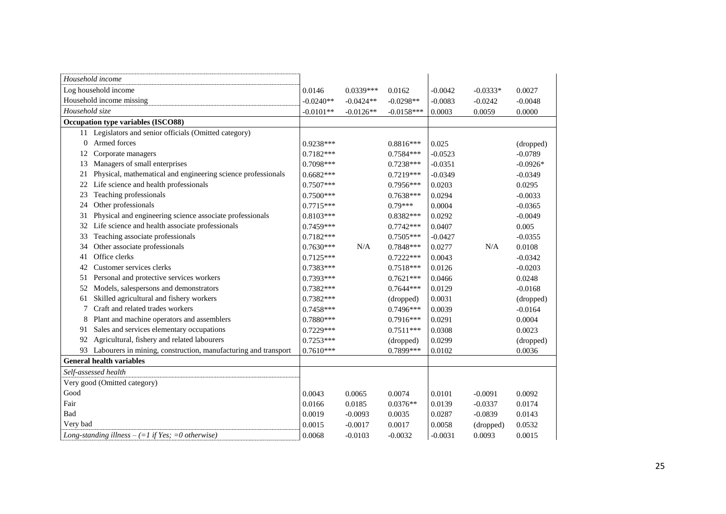|                | Household income                                                  |                  |             |              |           |            |            |
|----------------|-------------------------------------------------------------------|------------------|-------------|--------------|-----------|------------|------------|
|                | Log household income                                              | 0.0146           | $0.0339***$ | 0.0162       | $-0.0042$ | $-0.0333*$ | 0.0027     |
|                | Household income missing                                          | $-0.0240**$      | $-0.0424**$ | $-0.0298**$  | $-0.0083$ | $-0.0242$  | $-0.0048$  |
| Household size |                                                                   | $-0.0101**$      | $-0.0126**$ | $-0.0158***$ | 0.0003    | 0.0059     | 0.0000     |
|                | <b>Occupation type variables (ISCO88)</b>                         |                  |             |              |           |            |            |
|                | 11 Legislators and senior officials (Omitted category)            |                  |             |              |           |            |            |
| $\overline{0}$ | Armed forces                                                      | $0.9238***$      |             | $0.8816***$  | 0.025     |            | (dropped)  |
| 12             | Corporate managers                                                | $0.7182***$      |             | $0.7584***$  | $-0.0523$ |            | $-0.0789$  |
| 13             | Managers of small enterprises                                     | 0.7098***        |             | $0.7238***$  | $-0.0351$ |            | $-0.0926*$ |
| 21             | Physical, mathematical and engineering science professionals      | $0.6682***$      |             | $0.7219***$  | $-0.0349$ |            | $-0.0349$  |
|                | 22 Life science and health professionals                          | $0.7507***$      |             | $0.7956***$  | 0.0203    |            | 0.0295     |
| 23             | Teaching professionals                                            | $0.7500***$      |             | $0.7638***$  | 0.0294    |            | $-0.0033$  |
| 24             | Other professionals                                               | $0.7715***$      |             | $0.79***$    | 0.0004    |            | $-0.0365$  |
| 31             | Physical and engineering science associate professionals          | $0.8103***$      |             | $0.8382***$  | 0.0292    |            | $-0.0049$  |
| 32             | Life science and health associate professionals                   | $0.7459***$      |             | $0.7742***$  | 0.0407    |            | 0.005      |
| 33             | Teaching associate professionals                                  | $0.7182***$      |             | $0.7505***$  | $-0.0427$ |            | $-0.0355$  |
| 34             | Other associate professionals                                     | $0.7630***$      | N/A         | $0.7848***$  | 0.0277    | N/A        | 0.0108     |
| 41             | Office clerks                                                     | $0.7125***$      |             | $0.7222***$  | 0.0043    |            | $-0.0342$  |
| 42             | Customer services clerks                                          | $0.7383***$      |             | $0.7518***$  | 0.0126    |            | $-0.0203$  |
| 51             | Personal and protective services workers                          | 0.7393***        |             | $0.7621***$  | 0.0466    |            | 0.0248     |
| 52             | Models, salespersons and demonstrators                            | $0.7382***$      |             | $0.7644***$  | 0.0129    |            | $-0.0168$  |
| 61             | Skilled agricultural and fishery workers                          | $0.7382***$      |             | (dropped)    | 0.0031    |            | (dropped)  |
| 7              | Craft and related trades workers                                  | $0.7458***$      |             | $0.7496***$  | 0.0039    |            | $-0.0164$  |
| 8              | Plant and machine operators and assemblers                        | $0.7880***$      |             | $0.7916***$  | 0.0291    |            | 0.0004     |
| 91.            | Sales and services elementary occupations                         | $0.7229***$      |             | $0.7511***$  | 0.0308    |            | 0.0023     |
| 92             | Agricultural, fishery and related labourers                       | $0.7253***$      |             | (dropped)    | 0.0299    |            | (dropped)  |
|                | 93 Labourers in mining, construction, manufacturing and transport | $0.7610***$      |             | 0.7899***    | 0.0102    |            | 0.0036     |
|                | <b>General health variables</b>                                   |                  |             |              |           |            |            |
|                | Self-assessed health                                              |                  |             |              |           |            |            |
|                | Very good (Omitted category)                                      |                  |             |              |           |            |            |
| Good           |                                                                   |                  | 0.0065      | 0.0074       | 0.0101    | $-0.0091$  | 0.0092     |
| Fair           |                                                                   |                  | 0.0185      | $0.0376**$   | 0.0139    | $-0.0337$  | 0.0174     |
| Bad            |                                                                   | 0.0166<br>0.0019 | $-0.0093$   | 0.0035       | 0.0287    | $-0.0839$  | 0.0143     |
| Very bad       |                                                                   | 0.0015           | $-0.0017$   | 0.0017       | 0.0058    | (dropped)  | 0.0532     |
|                | Long-standing illness $- (= 1$ if Yes; $= 0$ otherwise)           | 0.0068           | $-0.0103$   | $-0.0032$    | $-0.0031$ | 0.0093     | 0.0015     |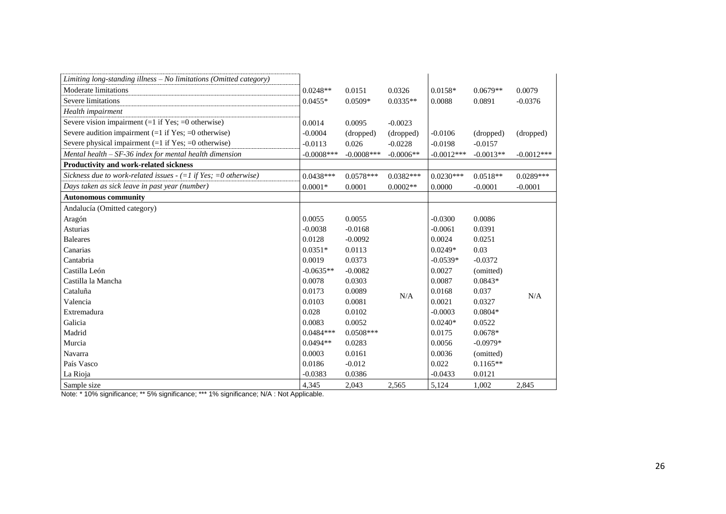| Limiting long-standing illness $-$ No limitations (Omitted category)  |               |               |             |              |             |              |
|-----------------------------------------------------------------------|---------------|---------------|-------------|--------------|-------------|--------------|
| Moderate limitations                                                  | $0.0248**$    | 0.0151        | 0.0326      | $0.0158*$    | $0.0679**$  | 0.0079       |
| Severe limitations                                                    | $0.0455*$     | $0.0509*$     | $0.0335**$  | 0.0088       | 0.0891      | $-0.0376$    |
| Health impairment                                                     |               |               |             |              |             |              |
| Severe vision impairment $(=1$ if Yes; $=0$ otherwise)                | 0.0014        | 0.0095        | $-0.0023$   |              |             |              |
| Severe audition impairment $(=1$ if Yes; $=0$ otherwise)              | $-0.0004$     | (dropped)     | (dropped)   | $-0.0106$    | (dropped)   | (dropped)    |
| Severe physical impairment (=1 if Yes; =0 otherwise)                  | $-0.0113$     | 0.026         | $-0.0228$   | $-0.0198$    | $-0.0157$   |              |
| Mental health $-$ SF-36 index for mental health dimension             | $-0.0008$ *** | $-0.0008$ *** | $-0.0006**$ | $-0.0012***$ | $-0.0013**$ | $-0.0012***$ |
| Productivity and work-related sickness                                |               |               |             |              |             |              |
| Sickness due to work-related issues $- (= 1$ if Yes; $= 0$ otherwise) | $0.0438***$   | $0.0578***$   | $0.0382***$ | $0.0230***$  | $0.0518**$  | $0.0289***$  |
| Days taken as sick leave in past year (number)                        | $0.0001*$     | 0.0001        | $0.0002**$  | 0.0000       | $-0.0001$   | $-0.0001$    |
| <b>Autonomous community</b>                                           |               |               |             |              |             |              |
| Andalucía (Omitted category)                                          |               |               |             |              |             |              |
| Aragón                                                                | 0.0055        | 0.0055        |             | $-0.0300$    | 0.0086      |              |
| Asturias                                                              | $-0.0038$     | $-0.0168$     |             | $-0.0061$    | 0.0391      |              |
| <b>Baleares</b>                                                       | 0.0128        | $-0.0092$     |             | 0.0024       | 0.0251      |              |
| Canarias                                                              | $0.0351*$     | 0.0113        |             | $0.0249*$    | 0.03        |              |
| Cantabria                                                             | 0.0019        | 0.0373        |             | $-0.0539*$   | $-0.0372$   |              |
| Castilla León                                                         | $-0.0635**$   | $-0.0082$     |             | 0.0027       | (omitted)   |              |
| Castilla la Mancha                                                    | 0.0078        | 0.0303        |             | 0.0087       | $0.0843*$   |              |
| Cataluña                                                              | 0.0173        | 0.0089        | N/A         | 0.0168       | 0.037       | N/A          |
| Valencia                                                              | 0.0103        | 0.0081        |             | 0.0021       | 0.0327      |              |
| Extremadura                                                           | 0.028         | 0.0102        |             | $-0.0003$    | $0.0804*$   |              |
| Galicia                                                               | 0.0083        | 0.0052        |             | $0.0240*$    | 0.0522      |              |
| Madrid                                                                | $0.0484***$   | $0.0508***$   |             | 0.0175       | $0.0678*$   |              |
| Murcia                                                                | $0.0494**$    | 0.0283        |             | 0.0056       | $-0.0979*$  |              |
| Navarra                                                               | 0.0003        | 0.0161        |             | 0.0036       | (omitted)   |              |
| País Vasco                                                            | 0.0186        | $-0.012$      |             | 0.022        | $0.1165**$  |              |
| La Rioja                                                              | $-0.0383$     | 0.0386        |             | $-0.0433$    | 0.0121      |              |
| Sample size                                                           | 4,345         | 2,043         | 2,565       | 5,124        | 1,002       | 2,845        |

Note: \* 10% significance; \*\* 5% significance; \*\*\* 1% significance; N/A : Not Applicable.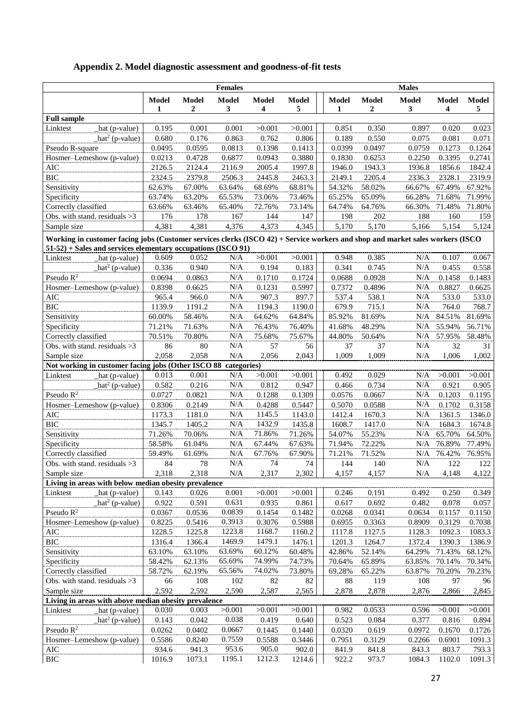# **Appendix 2. Model diagnostic assessment and goodness-of-fit tests**

|                                                                                                                               | <b>Females</b>   |                  |                  |                  | <b>Males</b>     |  |                  |                  |                  |                  |                  |
|-------------------------------------------------------------------------------------------------------------------------------|------------------|------------------|------------------|------------------|------------------|--|------------------|------------------|------------------|------------------|------------------|
|                                                                                                                               | <b>Model</b>     | <b>Model</b>     | <b>Model</b>     | <b>Model</b>     | Model            |  | Model            | <b>Model</b>     | <b>Model</b>     | <b>Model</b>     | Model            |
|                                                                                                                               | 1                | 2                | 3                | 4                | 5                |  | 1                | $\boldsymbol{2}$ | 3                | 4                | 5                |
| <b>Full sample</b>                                                                                                            |                  |                  |                  |                  |                  |  |                  |                  |                  |                  |                  |
| Linktest<br>hat (p-value)                                                                                                     | 0.195            | 0.001            | 0.001            | >0.001           | >0.001           |  | 0.851            | 0.350            | 0.897            | 0.020            | 0.023            |
| hat <sup>2</sup> (p-value)                                                                                                    | 0.680            | 0.176            | 0.863            | 0.762            | 0.806            |  | 0.189            | 0.550            | 0.075            | 0.081            | 0.071            |
| Pseudo R-square                                                                                                               | 0.0495           | 0.0595           | 0.0813           | 0.1398           | 0.1413           |  | 0.0399           | 0.0497           | 0.0759           | 0.1273           | 0.1264           |
| Hosmer-Lemeshow (p-value)                                                                                                     | 0.0213<br>2126.5 | 0.4728<br>2124.4 | 0.6877<br>2116.9 | 0.0943           | 0.3880<br>1997.8 |  | 0.1830<br>1946.0 | 0.6253           | 0.2250<br>1936.8 | 0.3395<br>1856.6 | 0.2741<br>1842.4 |
| AIC<br><b>BIC</b>                                                                                                             | 2324.5           | 2379.8           | 2506.3           | 2005.4<br>2445.8 | 2463.3           |  | 2149.1           | 1943.3<br>2205.4 | 2336.3           | 2328.1           | 2319.9           |
| Sensitivity                                                                                                                   | 62.63%           | 67.00%           | 63.64%           | 68.69%           | 68.81%           |  | 54.32%           | 58.02%           | 66.67%           | 67.49%           | 67.92%           |
| Specificity                                                                                                                   | 63.74%           | 63.20%           | 65.53%           | 73.06%           | 73.46%           |  | 65.25%           | 65.09%           | 66.28%           | 71.68%           | 71.99%           |
| Correctly classified                                                                                                          | 63.66%           | 63.46%           | 65.40%           | 72.76%           | 73.14%           |  | 64.74%           | 64.76%           | 66.30%           | 71.48%           | 71.80%           |
| Obs. with stand. residuals $>3$                                                                                               | 176              | 178              | 167              | 144              | 147              |  | 198              | 202              | 188              | 160              | 159              |
| Sample size                                                                                                                   | 4,381            | 4,381            | 4,376            | 4,373            | 4,345            |  | 5,170            | 5,170            | 5,166            | 5,154            | 5,124            |
| Working in customer facing jobs (Customer services clerks (ISCO 42) + Service workers and shop and market sales workers (ISCO |                  |                  |                  |                  |                  |  |                  |                  |                  |                  |                  |
| 51-52) + Sales and services elementary occupations (ISCO 91)                                                                  |                  |                  |                  |                  |                  |  |                  |                  |                  |                  |                  |
| Linktest<br>hat (p-value)                                                                                                     | 0.609            | 0.052            | N/A              | >0.001           | >0.001           |  | 0.948            | 0.385            | N/A              | 0.107            | 0.067            |
| _hat <sup>2</sup> (p-value)                                                                                                   | 0.336            | 0.940            | N/A              | 0.194            | 0.183            |  | 0.341            | 0.745            | N/A              | 0.455            | 0.558            |
| Pseudo $\mathbb{R}^2$                                                                                                         | 0.0694           | 0.0863           | $\rm N/A$        | 0.1710           | 0.1724           |  | 0.0688           | 0.0928           | N/A              | 0.1458           | 0.1483           |
| Hosmer-Lemeshow (p-value)                                                                                                     | 0.8398           | 0.6625           | $\rm N/A$        | 0.1231           | 0.5997           |  | 0.7372           | 0.4896           | N/A              | 0.8827           | 0.6625           |
| AIC                                                                                                                           | 965.4            | 966.0            | N/A              | 907.3            | 897.7            |  | 537.4            | 538.1            | N/A              | 533.0            | 533.0            |
| <b>BIC</b>                                                                                                                    | 1139.9           | 1191.2           | N/A              | 1194.3           | 1190.0           |  | 679.9            | 715.1            | N/A              | 764.0            | 768.7            |
| Sensitivity                                                                                                                   | 60.00%           | 58.46%           | N/A              | 64.62%           | 64.84%           |  | 85.92%           | 81.69%           | $\rm N/A$        | 84.51%           | 81.69%           |
| Specificity                                                                                                                   | 71.21%           | 71.63%           | N/A              | 76.43%           | 76.40%           |  | 41.68%           | 48.29%           | N/A              | 55.94%           | 56.71%           |
| Correctly classified                                                                                                          | 70.51%           | 70.80%           | N/A              | 75.68%           | 75.67%           |  | 44.80%           | 50.64%           |                  | N/A 57.95%       | 58.48%           |
| Obs. with stand. residuals $>3$                                                                                               | 86               | 80               | N/A              | 57               | 56               |  | 37               | 37               | N/A              | 32               | 31               |
| Sample size                                                                                                                   | 2,058            | 2,058            | N/A              | 2,056            | 2,043            |  | 1,009            | 1,009            | N/A              | 1,006            | 1,002            |
| Not working in customer facing jobs (Other ISCO 88 categories)                                                                |                  |                  |                  |                  |                  |  |                  |                  |                  |                  |                  |
| hat (p-value)<br>Linktest                                                                                                     | 0.013            | 0.001            | N/A              | >0.001           | >0.001           |  | 0.492            | 0.029            | N/A              | >0.001           | >0.001           |
| hat <sup>2</sup> (p-value)                                                                                                    | 0.582            | 0.216            | $\rm N/A$        | 0.812            | 0.947            |  | 0.466            | 0.734            | N/A              | 0.921            | 0.905            |
| Pseudo $R^2$                                                                                                                  | 0.0727           | 0.0821           | N/A              | 0.1288           | 0.1309           |  | 0.0576           | 0.0667           | N/A              | 0.1203           | 0.1195           |
| Hosmer-Lemeshow (p-value)                                                                                                     | 0.8306           | 0.2149           | N/A              | 0.4288           | 0.5447           |  | 0.5070           | 0.0588           | N/A              | 0.1702           | 0.3158           |
| AIC                                                                                                                           | 1173.3           | 1181.0           | N/A              | 1145.5           | 1143.0           |  | 1412.4           | 1670.3           | N/A              | 1361.5           | 1346.0           |
| <b>BIC</b>                                                                                                                    | 1345.7           | 1405.2           | N/A              | 1432.9           | 1435.8           |  | 1608.7           | 1417.0           | N/A              | 1684.3           | 1674.8           |
| Sensitivity                                                                                                                   | 71.26%           | 70.06%           | N/A              | 71.86%           | 71.26%           |  | 54.07%           | 55.23%           | N/A              | 65.70%           | 64.50%           |
| Specificity                                                                                                                   | 58.58%           | 61.04%           | N/A              | 67.44%           | 67.63%           |  | 71.94%           | 72.22%           | N/A              | 76.89%           | 77.49%           |
| Correctly classified                                                                                                          | 59.49%           | 61.69%           | N/A<br>N/A       | 67.76%           | 67.90%           |  | 71.21%           | 71.52%           | N/A<br>N/A       | 76.42%           | 76.95%           |
| Obs. with stand. residuals $>3$                                                                                               | 84               | 78               |                  | 74               | 74               |  | 144              | 140              |                  | 122              | 122              |
| Sample size<br>Living in areas with below median obesity prevalence                                                           | 2,318            | 2,318            | N/A              | 2,317            | 2,302            |  | 4,157            | 4,157            | N/A              | 4,148            | 4,122            |
| Linktest<br>hat (p-value)                                                                                                     | 0.143            | 0.026            | 0.001            | >0.001           | >0.001           |  | 0.246            | 0.191            | 0.492            | 0.250            | 0.349            |
| hat <sup>2</sup> (p-value)                                                                                                    | 0.922            | 0.591            | 0.631            | 0.935            | 0.861            |  | 0.617            | 0.692            | 0.482            | 0.078            | 0.057            |
| Pseudo $\mathbb{R}^2$                                                                                                         | 0.0367           | 0.0536           | 0.0839           | 0.1454           | 0.1482           |  | 0.0268           | 0.0341           | 0.0634           | 0.1157           | 0.1150           |
| Hosmer-Lemeshow (p-value)                                                                                                     | 0.8225           | 0.5416           | 0.3913           | 0.3076           | 0.5988           |  | 0.6955           | 0.3363           | 0.8909           | 0.3129           | 0.7038           |
| $\rm AIC$                                                                                                                     | 1228.5           | 1225.8           | 1223.8           | 1168.7           | 1160.2           |  | 1117.8           | 1127.5           | 1128.3           | 1092.3           | 1083.3           |
| <b>BIC</b>                                                                                                                    | 1316.4           | 1366.4           | 1469.9           | 1479.1           | 1476.1           |  | 1201.3           | 1264.7           | 1372.4           | 1390.3           | 1386.9           |
| Sensitivity                                                                                                                   | 63.10%           | 63.10%           | 63.69%           | 60.12%           | 60.48%           |  | 42.86%           | 52.14%           | 64.29%           | 71.43%           | 68.12%           |
| Specificity                                                                                                                   | 58.42%           | 62.13%           | 65.69%           | 74.99%           | 74.73%           |  | 70.64%           | 65.89%           | 63.85%           | 70.14%           | 70.34%           |
| Correctly classified                                                                                                          | 58.72%           | 62.19%           | 65.56%           | 74.02%           | 73.80%           |  | 69.28%           | 65.22%           | 63.87%           | 70.20%           | 70.23%           |
| Obs. with stand. residuals >3                                                                                                 | 66               | 108              | 102              | 82               | 82               |  | $88\,$           | 119              | 108              | 97               | 96               |
| Sample size                                                                                                                   | 2,592            | 2,592            | 2,590            | 2,587            | 2,565            |  | 2,878            | 2,878            | 2,876            | 2,866            | 2,845            |
| Living in areas with above median obesity prevalence                                                                          |                  |                  |                  |                  |                  |  |                  |                  |                  |                  |                  |
| Linktest<br>hat (p-value)                                                                                                     | 0.030            | 0.003            | >0.001           | >0.001           | >0.001           |  | 0.982            | 0.0533           | 0.596            | >0.001           | >0.001           |
| hat <sup>2</sup> (p-value)                                                                                                    | 0.143            | 0.042            | 0.038            | 0.419            | 0.640            |  | 0.523            | 0.084            | 0.377            | 0.816            | 0.894            |
| Pseudo $R^2$                                                                                                                  | 0.0262           | 0.0402           | 0.0667           | 0.1445           | 0.1440           |  | 0.0320           | 0.619            | 0.0972           | 0.1670           | 0.1726           |
| Hosmer-Lemeshow (p-value)                                                                                                     | 0.5586           | 0.8240           | 0.7559           | 0.5588           | 0.3446           |  | 0.7951           | 0.3129           | 0.2266           | 0.6901           | 1091.3           |
| AIC                                                                                                                           | 934.6            | 941.3            | 953.6            | 905.0            | 902.0            |  | 841.9            | 841.8            | 843.3            | 803.7            | 793.3            |
| $\rm BIC$                                                                                                                     | 1016.9           | 1073.1           | 1195.1           | 1212.3           | 1214.6           |  | 922.2            | 973.7            | 1084.3           | 1102.0           | 1091.3           |